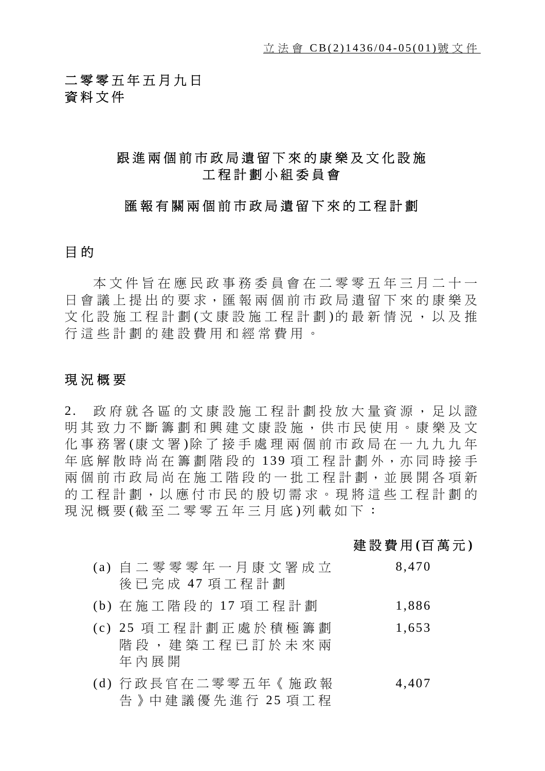二零零五年五月九日 資料文件

## 跟進兩個前市政局遺留下來的康樂及文化設施 工程計劃小組委員會

### 匯報有關兩個前市政局遺留下來的工程計劃

### 目 的

本文件旨在應民政事務委員會在二零零五年三月二十一 日會議上提出的要求,匯報兩個前市政局遺留下來的康樂及 文化設施工程計劃 (文康設施工程計劃)的最新情況,以及推 行這些計劃的建設費用和經常費用。

### 現況概要

2. 政府就各區的文康設施工程計劃投放大量資源,足以證 明其致力不斷籌劃和興建文康設施 ,供市民使用。康樂及文 化事務署 (康文署)除了接手處理兩個前市政局在一九九九年 年底解散時尚在籌劃階段的 139 項工程計劃外,亦同時接手 兩個前市政局尚在施工階段的一批工 程計劃,並展開各項新 的工程計劃,以應付市民的殷 切需求。現將這些工程計劃的 現況概要(截至二零零五年三月底)列載如下:

### 建設費用 **(**百萬元 **)**

| (a) 自 二 零 零 零 年 一 月 康 文 署 成 立                        | 8.470      |
|------------------------------------------------------|------------|
| 後 已 完 成 47 項 工 程 計 劃                                 |            |
| 71.\ <del>7. 7%</del> 구 70% CA 40 1.7 7줌 구 4미 31 \$1 | $1 \Omega$ |

- (b) 在 施 工 階 段 的 17 項 工 桯 計 劃 1,886
- (c) 25 項工程計劃正處於積極籌劃 階段,建築工程已訂於未來兩 年內展開 1,653
- (d) 行政長官在二零零五年《施政報 告》中建議優先進行 25 項工程 4,407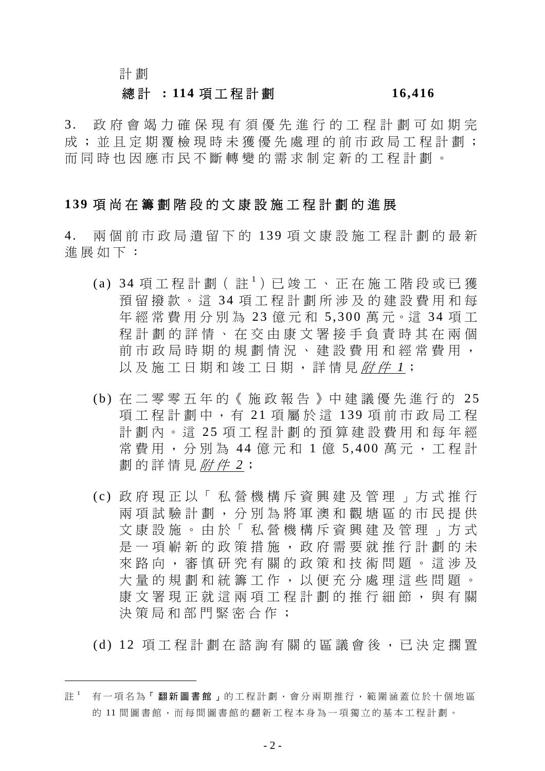### 計 劃

 $\overline{a}$ 

### 總 計 **: 114** 項工程計劃 **16,416**

3. 政府會竭力確保現有須優先進行的工程計劃可如期完 成;並且定期覆檢現時未獲優先處理的前市政局工程計劃; 而同時也因應市民不斷轉變的 需求制定新的工程計劃。

### **139** 項尚在籌劃階段的文康設施工程計劃的進展

4. 兩個前市政局遺留下的 139 項文康設施工程計劃的最新 進展如下:

- (a) 34 項工程計劃 (註1) 已竣工、正在施工階段或已獲 預留撥款。這34項工程計劃所涉及的建設費用和每 年經常費用分別為 23 億元和 5,300 萬元。這 34 項工 程計劃的詳情、在交由康文署接手負責時其在兩個 前市政局時期的規劃情況、建設費用和經常費用, 以及施工日期和竣工日期,詳情見*附件 1*;
- (b) 在二零零五年的《施政報告》中建議優先進行的 25 項工程計劃中,有 21 項屬於這 139 項前市政局工程 計劃內。這 25 項工程計劃的預算建設費用和每年經 常費用,分別為 44 億元和 1 億 5,400 萬元,工程計 劃的詳情見 附 件 *2*;
- (c) 政府現正以「私營機構斥資興建及管理」方式推行 兩項試驗計劃,分別為將軍澳和觀塘區的市民提供 文康設施。由於「私營機構斥資興建及管理」方式 是一項嶄新的政策措施,政府需要就推行計劃的未 來 路 向 , 審慎研究 有關的政 策 和 技術問題 。這涉及 大量的規劃和統籌工作,以便充分處理這些問題。 康文署現正就這兩項工程計劃的推行細節, 與有關 決策局和部門緊密合作;
- (d) 12 項工程計劃在 諮 詢 有關的區議會後,已 決 定 擱 置

註 <sup>1</sup> 有一項名為「翻新圖書館」的工程計劃,會分兩期推行,範圍涵蓋位於十個地區 的 11 間圖書館,而每間圖書館的翻新工程本身為一項獨立的基本工程計劃。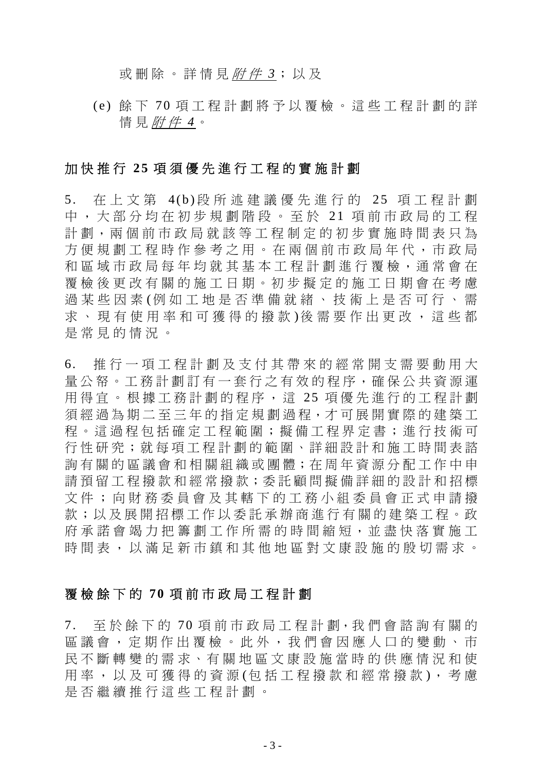或 刪 除。詳情見 附 件 *3*;以及

(e) 餘 下 7 0 項工程計劃將 予 以覆檢。這些工程計劃的詳 情 見 附 件 *4*。

### 加 快 推 行 **2 5** 項須優先進行工程的 實 施計劃

5. 在上文第 4(b)段所述建議優先進行的 25 項工程計劃 中,大 部 分 均 在 初 步 規劃階段。至於 2 1 項前市政局的工程 計劃,兩個前市政局就該等工程制定的初步實施時間表只為 方 便 規劃工程時 作參考之 用。在兩個前市政局年 代 ,市政局 和區域市政局每年均就其基本工程計劃進行覆檢,通常會在 覆檢後更改有關的施工日期。初步擬定的施工日期會在考慮 過 某 些 因 素 (例 如 工 地 是 否準備 就 緒 、 技 術 上 是 否 可行、需 求、現有使用率和可獲得的撥款)後需要作出更改,這些都 是常見的情況。

6. 推行一項工程計劃及 支 付 其 帶 來的經常開 支 需 要 動 用 大 量公帑。工務計劃訂有一套行之有效的程序,確保公共資源運 用 得 宜 。 根 據 工務計劃的程 序 , 這 25 項優先進行的工程計劃 須經過為期二至三年的指定規劃過程,才可展開實際的建築工 程。這 過 程 包 括 確 定 工 程 範 圍 ; 擬 備 工 程 界 定 書 ; 進 行 技 術 可 行性研究;就每項工程計劃的範圍、詳細設計和施工時間表諮 詢 有關的區議會和 相 關 組 織 或 團 體;在 周 年資源分 配 工 作 中 申 請 預 留 工 程 撥 款 和 經 常 撥 款 ; 委 託 顧 問 擬 備 詳 細 的 設 計 和 招 標 文件; 向 財 務 委 員 會 及 其 轄 下 的 工 務 小 組 委 員 會 正 式 申 請 撥 款;以及展開招標工作以委託承辦商進行有關的建築工程。政 府 承 諾 會 竭 力 把 籌 劃 工 作 所 需 的 時 間 縮 短 , 並 盡 快 落 實 施 工 時 間 表 , 以 滿 足 新 市 鎮 和 其 他 地 區 對 文 康 設 施 的 殷 切 需 求 。

### 覆 檢 餘 下 的 **7 0** 項前市政局工程計劃

7. 至 於 餘 下 的 70 項 前 市 政 局 工 程 計 劃 ,我 們 會 諮 詢 有 關 的 區議會,定期 作 出覆檢。 此 外 , 我 們 會因應 人 口 的 變 動 、 市 民不斷轉變的需求、有關地區文康設施當時的供應情況和使 用 率 , 以 及 可 獲 得 的 資 源 (句 括 工 程 撥 款 和 經 常 撥 款 ), 考 慮 是 否繼續 推行這些工程計劃。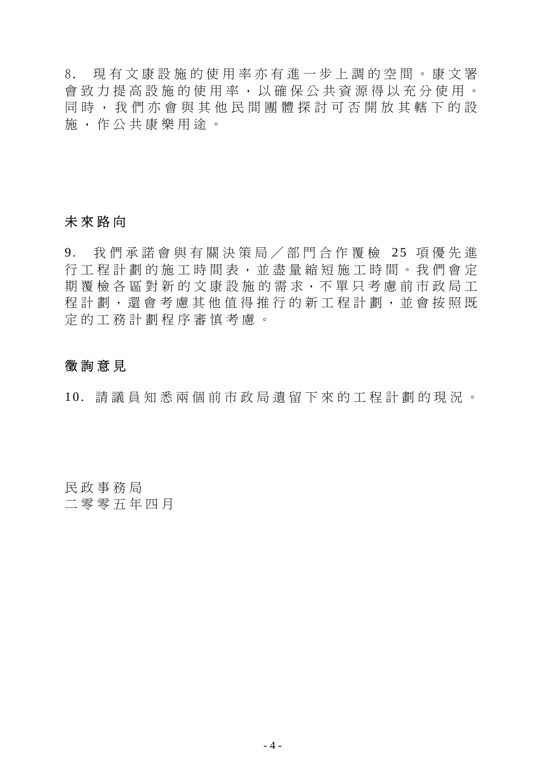8. 現有文康設施的使用 率 亦有進一 步 上 調 的 空 間 。康文署 會 致 力 提 高 設 施 的 使 用 率 , 以 確 保 公 共 資 源 得 以 充 分 使 用 。 同時, 我 們 亦 會 與 其 他 民 間團體探討 可 否 開放其 轄 下的設 施 , 作公共 康樂用 途 。

### 未 來 路 向

9. 我們承諾會與有關決策局/部門合作覆檢 25 項優先進 行工程計劃的施工時 間 表 , 並 盡 量 縮 短 施工時 間 。 我 們 會 定 期覆檢各區對新的文康設施的需求,不單只考慮前市政局工 程計劃,還會考慮其他值得推行的新工程計劃,並會按照既 定的工務計劃程 序審慎考慮 。

### 徵詢意 見

10. 請 議 員 知 悉 兩個前市政局遺留下來的工程計劃的現況。

民政事務局 二零零五年 四 月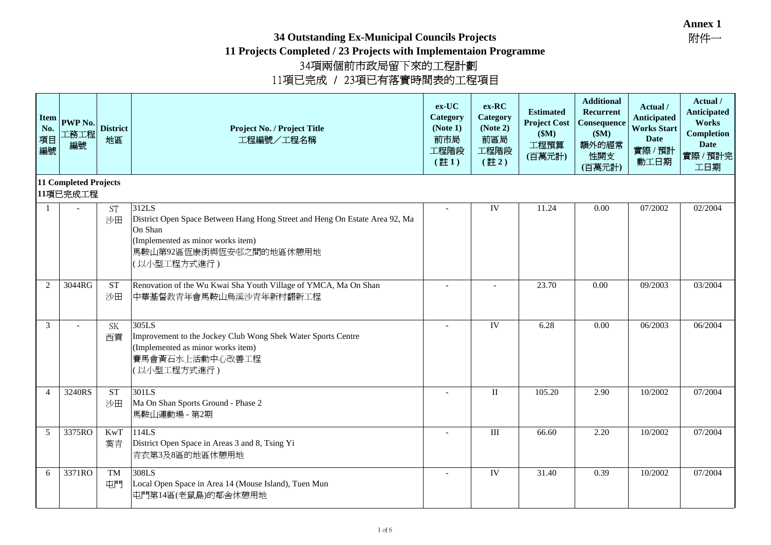**34 Outstanding Ex-Municipal Councils Projects**

| <b>Item</b><br>No.<br>項目<br>編號 | PWP No.<br>工務工程<br>編號             | <b>District</b><br>地區    | Project No. / Project Title<br>工程編號/工程名稱                                                                                                                                       | $ex-UC$<br>Category<br>(Note 1)<br>前市局<br>工程階段<br>$(\pm 1)$ | ex-RC<br>Category<br>(Note 2)<br>前區局<br>工程階段<br>$(\pm 2)$ | <b>Estimated</b><br><b>Project Cost</b><br>\$M\$<br>工程預算<br>(百萬元計) | <b>Additional</b><br>Recurrent<br>Consequence<br>\$M\$<br>額外的經常<br>性開支<br>(百萬元計) | Actual /<br><b>Anticipated</b><br><b>Works Start</b><br><b>Date</b><br>實際/預計<br>動工日期 | Actual /<br><b>Anticipated</b><br>Works<br><b>Completion</b><br><b>Date</b><br>實際 / 預計完<br>工日期 |
|--------------------------------|-----------------------------------|--------------------------|--------------------------------------------------------------------------------------------------------------------------------------------------------------------------------|-------------------------------------------------------------|-----------------------------------------------------------|--------------------------------------------------------------------|----------------------------------------------------------------------------------|--------------------------------------------------------------------------------------|------------------------------------------------------------------------------------------------|
|                                | 11 Completed Projects<br>11項已完成工程 |                          |                                                                                                                                                                                |                                                             |                                                           |                                                                    |                                                                                  |                                                                                      |                                                                                                |
| 1                              |                                   | <b>ST</b><br>沙田          | 312LS<br>District Open Space Between Hang Hong Street and Heng On Estate Area 92, Ma<br>On Shan<br>(Implemented as minor works item)<br>馬鞍山第92區恆康街與恆安邨之間的地區休憩用地<br>(以小型工程方式進行) |                                                             | IV                                                        | 11.24                                                              | 0.00                                                                             | 07/2002                                                                              | 02/2004                                                                                        |
| $\overline{2}$                 | 3044RG                            | ${\cal S}{\cal T}$<br>沙田 | Renovation of the Wu Kwai Sha Youth Village of YMCA, Ma On Shan<br>中華基督教青年會馬鞍山烏溪沙青年新村翻新工程                                                                                      |                                                             |                                                           | 23.70                                                              | 0.00                                                                             | 09/2003                                                                              | 03/2004                                                                                        |
| 3                              |                                   | <b>SK</b><br>西貢          | 305LS<br>Improvement to the Jockey Club Wong Shek Water Sports Centre<br>(Implemented as minor works item)<br>賽馬會黃石水上活動中心改善工程<br>(以小型工程方式進行)                                   |                                                             | IV                                                        | 6.28                                                               | 0.00                                                                             | 06/2003                                                                              | 06/2004                                                                                        |
| $\overline{4}$                 | 3240RS                            | <b>ST</b><br>沙田          | 301LS<br>Ma On Shan Sports Ground - Phase 2<br>馬鞍山運動場 - 第2期                                                                                                                    |                                                             | $\rm II$                                                  | 105.20                                                             | 2.90                                                                             | 10/2002                                                                              | 07/2004                                                                                        |
| 5                              | 3375RO                            | KwT<br>葵青                | 114LS<br>District Open Space in Areas 3 and 8, Tsing Yi<br>青衣第3及8區的地區休憩用地                                                                                                      |                                                             | $\mathbf{I}$                                              | 66.60                                                              | 2.20                                                                             | 10/2002                                                                              | 07/2004                                                                                        |
| 6                              | 3371RO                            | <b>TM</b><br>屯門          | 308LS<br>Local Open Space in Area 14 (Mouse Island), Tuen Mun<br>屯門第14區(老鼠島)的鄰舍休憩用地                                                                                            |                                                             | IV                                                        | 31.40                                                              | 0.39                                                                             | 10/2002                                                                              | 07/2004                                                                                        |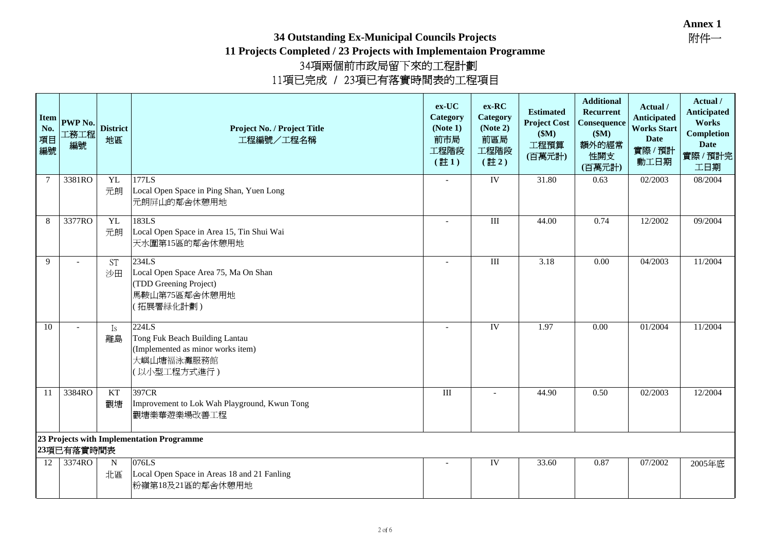### **34 Outstanding Ex-Municipal Councils Projects**

**11 Projects Completed / 23 Projects with Implementaion Programme**

<sup>34</sup>項兩個前市政局留下來的工程計劃 <sup>11</sup>項已完成 / 23項已有落實時間表的工程項目

| <b>Item</b><br>No.<br>項目<br>編號 | <b>PWP No.</b><br>工務工程<br>編號 | <b>District</b><br>地區 | Project No. / Project Title<br>工程編號/工程名稱                                                                  | $ex-UC$<br>Category<br>(Note 1)<br>前市局<br>工程階段<br>$(\pm 1)$ | ex-RC<br>Category<br>(Note 2)<br>前區局<br>工程階段<br>$(\pm 2)$ | <b>Estimated</b><br><b>Project Cost</b><br>\$M\$<br>工程預算<br>(百萬元計) | <b>Additional</b><br>Recurrent<br>Consequence<br>\$M\$<br>額外的經常<br>性開支<br>(百萬元計) | Actual /<br><b>Anticipated</b><br><b>Works Start</b><br>Date<br>實際/預計<br>動工日期 | Actual /<br><b>Anticipated</b><br>Works<br><b>Completion</b><br><b>Date</b><br>實際 / 預計完<br>工日期 |
|--------------------------------|------------------------------|-----------------------|-----------------------------------------------------------------------------------------------------------|-------------------------------------------------------------|-----------------------------------------------------------|--------------------------------------------------------------------|----------------------------------------------------------------------------------|-------------------------------------------------------------------------------|------------------------------------------------------------------------------------------------|
| $\tau$                         | 3381RO                       | YL<br>元朗              | 177LS<br>Local Open Space in Ping Shan, Yuen Long<br>元朗屏山的鄰舍休憩用地                                          |                                                             | IV                                                        | 31.80                                                              | 0.63                                                                             | 02/2003                                                                       | 08/2004                                                                                        |
| 8                              | 3377RO                       | <b>YL</b><br>元朗       | 183LS<br>Local Open Space in Area 15, Tin Shui Wai<br>天水圍第15區的鄰舍休憩用地                                      | $\overline{\phantom{a}}$                                    | $\rm III$                                                 | 44.00                                                              | 0.74                                                                             | 12/2002                                                                       | 09/2004                                                                                        |
| 9                              | $\overline{a}$               | <b>ST</b><br>沙田       | 234LS<br>Local Open Space Area 75, Ma On Shan<br>(TDD Greening Project)<br>馬鞍山第75區鄰舍休憩用地<br>(拓展署緑化計劃)     |                                                             | $\rm III$                                                 | 3.18                                                               | 0.00                                                                             | 04/2003                                                                       | 11/2004                                                                                        |
| 10                             |                              | Is<br>離島              | 224LS<br>Tong Fuk Beach Building Lantau<br>(Implemented as minor works item)<br>大嶼山塘福泳灘服務館<br>(以小型工程方式進行) | $\overline{\phantom{a}}$                                    | IV                                                        | 1.97                                                               | 0.00                                                                             | 01/2004                                                                       | 11/2004                                                                                        |
| 11                             | 3384RO                       | KT<br>觀塘              | 397CR<br>Improvement to Lok Wah Playground, Kwun Tong<br>觀塘樂華遊樂場改善工程                                      | $\mathop{\mathrm{III}}\nolimits$                            |                                                           | 44.90                                                              | 0.50                                                                             | 02/2003                                                                       | 12/2004                                                                                        |
|                                | 23項已有落實時間表                   |                       | 23 Projects with Implementation Programme                                                                 |                                                             |                                                           |                                                                    |                                                                                  |                                                                               |                                                                                                |
| 12                             | 3374RO                       | $\mathbf N$<br>北區     | 076LS<br>Local Open Space in Areas 18 and 21 Fanling<br>粉嶺第18及21區的鄰舍休憩用地                                  |                                                             | IV                                                        | 33.60                                                              | 0.87                                                                             | 07/2002                                                                       | 2005年底                                                                                         |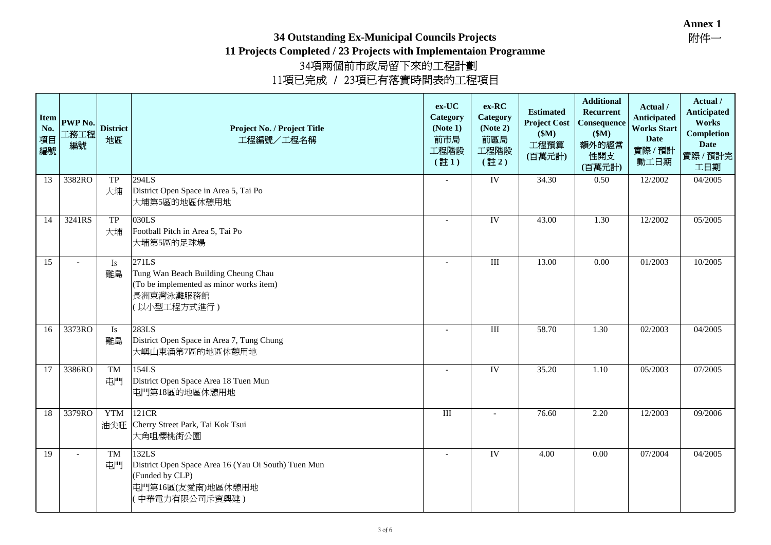### **34 Outstanding Ex-Municipal Councils Projects**

| <b>Item</b><br>No.<br>項目<br>編號 | PWP No.<br>工務工程<br>編號    | <b>District</b><br>地區 | Project No. / Project Title<br>工程編號/工程名稱                                                                               | ex-UC<br>Category<br>(Note 1)<br>前市局<br>工程階段<br>$(\pm 1)$ | $ex-RC$<br>Category<br>(Note 2)<br>前區局<br>工程階段<br>$(\pm 2)$ | <b>Estimated</b><br><b>Project Cost</b><br>\$M\$<br>工程預算<br>(百萬元計) | <b>Additional</b><br>Recurrent<br>Consequence<br>\$M\$<br>額外的經常<br>性開支<br>(百萬元計) | Actual /<br><b>Anticipated</b><br><b>Works Start</b><br><b>Date</b><br>實際/預計<br>動工日期 | Actual /<br><b>Anticipated</b><br>Works<br><b>Completion</b><br><b>Date</b><br>實際/預計完<br>工日期 |
|--------------------------------|--------------------------|-----------------------|------------------------------------------------------------------------------------------------------------------------|-----------------------------------------------------------|-------------------------------------------------------------|--------------------------------------------------------------------|----------------------------------------------------------------------------------|--------------------------------------------------------------------------------------|----------------------------------------------------------------------------------------------|
| 13                             | 3382RO                   | ${\rm TP}$<br>大埔      | 294LS<br>District Open Space in Area 5, Tai Po<br>大埔第5區的地區休憩用地                                                         | $\overline{\phantom{a}}$                                  | IV                                                          | 34.30                                                              | 0.50                                                                             | 12/2002                                                                              | 04/2005                                                                                      |
| 14                             | 3241RS                   | <b>TP</b><br>大埔       | 030LS<br>Football Pitch in Area 5, Tai Po<br>大埔第5區的足球場                                                                 | $\overline{a}$                                            | IV                                                          | 43.00                                                              | 1.30                                                                             | 12/2002                                                                              | 05/2005                                                                                      |
| 15                             | $\overline{\phantom{a}}$ | Is<br>離島              | 271LS<br>Tung Wan Beach Building Cheung Chau<br>(To be implemented as minor works item)<br>長洲東灣泳灘服務館<br>(以小型工程方式進行)    | $\overline{a}$                                            | III                                                         | 13.00                                                              | 0.00                                                                             | 01/2003                                                                              | 10/2005                                                                                      |
| 16                             | 3373RO                   | Is<br>離島              | 283LS<br>District Open Space in Area 7, Tung Chung<br>大嶼山東涌第7區的地區休憩用地                                                  |                                                           | III                                                         | 58.70                                                              | 1.30                                                                             | 02/2003                                                                              | 04/2005                                                                                      |
| 17                             | 3386RO                   | <b>TM</b><br>屯門       | 154LS<br>District Open Space Area 18 Tuen Mun<br>屯門第18區的地區休憩用地                                                         | $\overline{\phantom{a}}$                                  | IV                                                          | 35.20                                                              | 1.10                                                                             | 05/2003                                                                              | 07/2005                                                                                      |
| 18                             | 3379RO                   | <b>YTM</b>            | 121CR<br>油尖旺 Cherry Street Park, Tai Kok Tsui<br>大角咀櫻桃街公園                                                              | $\rm III$                                                 |                                                             | 76.60                                                              | 2.20                                                                             | 12/2003                                                                              | 09/2006                                                                                      |
| 19                             | $\overline{a}$           | <b>TM</b><br>屯門       | 132LS<br>District Open Space Area 16 (Yau Oi South) Tuen Mun<br>(Funded by CLP)<br>屯門第16區(友愛南)地區休憩用地<br>(中華電力有限公司斥資興建) |                                                           | IV                                                          | 4.00                                                               | 0.00                                                                             | 07/2004                                                                              | 04/2005                                                                                      |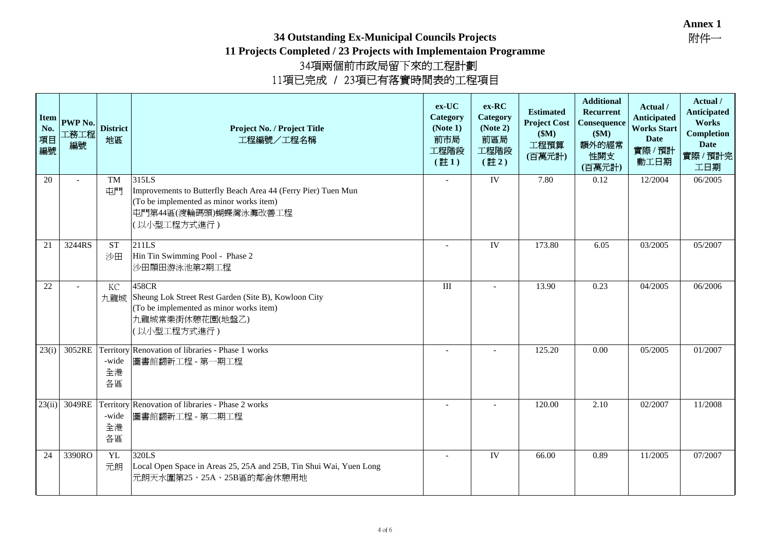### **34 Outstanding Ex-Municipal Councils Projects**

| <b>Item</b><br>No.<br>項目<br>編號 | PWP No.<br>工務工程<br>編號 | <b>District</b><br>地區 | Project No. / Project Title<br>工程編號/工程名稱                                                                                                                  | $ex-UC$<br>Category<br>(Note 1)<br>前市局<br>工程階段<br>$(\pm 1)$ | $ex-RC$<br>Category<br>(Note 2)<br>前區局<br>工程階段<br>$(\pm 2)$ | <b>Estimated</b><br><b>Project Cost</b><br>\$M)<br>工程預算<br>(百萬元計) | <b>Additional</b><br>Recurrent<br>Consequence<br>\$M\$<br>額外的經常<br>性開支<br>(百萬元計) | Actual /<br><b>Anticipated</b><br><b>Works Start</b><br>Date<br>實際/預計<br>動工日期 | Actual /<br><b>Anticipated</b><br>Works<br><b>Completion</b><br><b>Date</b><br>實際 / 預計完<br>工日期 |
|--------------------------------|-----------------------|-----------------------|-----------------------------------------------------------------------------------------------------------------------------------------------------------|-------------------------------------------------------------|-------------------------------------------------------------|-------------------------------------------------------------------|----------------------------------------------------------------------------------|-------------------------------------------------------------------------------|------------------------------------------------------------------------------------------------|
| 20                             | $\overline{a}$        | <b>TM</b><br>中門       | 315LS<br>Improvements to Butterfly Beach Area 44 (Ferry Pier) Tuen Mun<br>(To be implemented as minor works item)<br>屯門第44區(渡輪碼頭)蝴蝶灣泳灘改善工程<br>(以小型工程方式進行) |                                                             | IV                                                          | 7.80                                                              | 0.12                                                                             | 12/2004                                                                       | 06/2005                                                                                        |
| 21                             | 3244RS                | <b>ST</b><br>沙田       | 211LS<br>Hin Tin Swimming Pool - Phase 2<br>沙田顯田游泳池第2期工程                                                                                                  |                                                             | IV                                                          | 173.80                                                            | 6.05                                                                             | 03/2005                                                                       | 05/2007                                                                                        |
| 22                             |                       | KC                    | 458CR<br>九龍城 Sheung Lok Street Rest Garden (Site B), Kowloon City<br>(To be implemented as minor works item)<br>九龍城常樂街休憩花園(地盤乙)<br>(以小型工程方式進行)            | $\rm III$                                                   |                                                             | 13.90                                                             | 0.23                                                                             | 04/2005                                                                       | 06/2006                                                                                        |
| 23(i)                          | 3052RE                | -wide<br>全港<br>各區     | Territory Renovation of libraries - Phase 1 works<br>圖書館翻新工程 - 第一期工程                                                                                      | $\overline{a}$                                              |                                                             | 125.20                                                            | 0.00                                                                             | 05/2005                                                                       | 01/2007                                                                                        |
|                                | 23(ii) 3049RE         | -wide<br>全港<br>各區     | Territory Renovation of libraries - Phase 2 works<br>圖書館翻新工程 - 第二期工程                                                                                      |                                                             |                                                             | 120.00                                                            | 2.10                                                                             | 02/2007                                                                       | 11/2008                                                                                        |
| 24                             | 3390RO                | YL<br>元朗              | 320LS<br>Local Open Space in Areas 25, 25A and 25B, Tin Shui Wai, Yuen Long<br>元朗天水圍第25、25A、25B區的鄰舍休憩用地                                                   |                                                             | IV                                                          | 66.00                                                             | 0.89                                                                             | 11/2005                                                                       | 07/2007                                                                                        |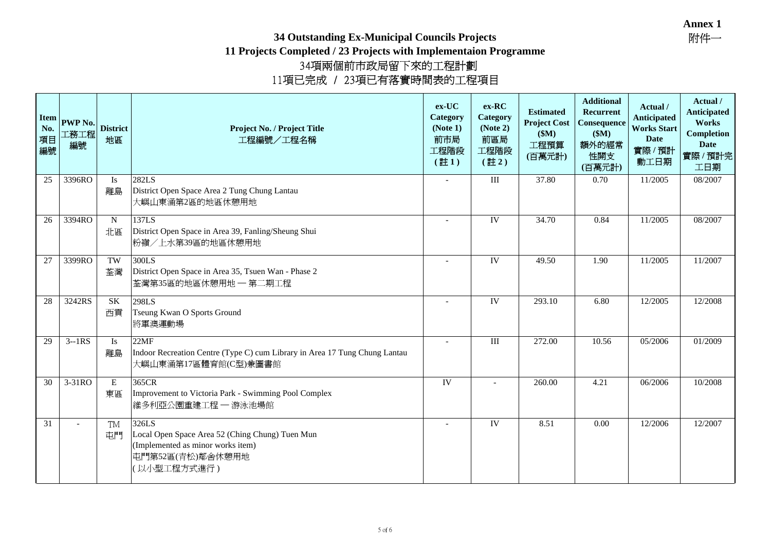### **34 Outstanding Ex-Municipal Councils Projects**

| <b>Item</b><br>No.<br>項目<br>編號 | <b>PWP No.</b><br>工務工程<br>編號 | <b>District</b><br>地區 | Project No. / Project Title<br>工程編號/工程名稱                                                                                         | $ex-UC$<br>Category<br>(Note 1)<br>前市局<br>工程階段<br>$(\pm 1)$ | $ex-RC$<br>Category<br>(Note 2)<br>前區局<br>工程階段<br>$(\pm 2)$ | <b>Estimated</b><br><b>Project Cost</b><br>\$M\$<br>工程預算<br>(百萬元計) | <b>Additional</b><br>Recurrent<br>Consequence<br>\$M\$<br>額外的經常<br>性開支<br>(百萬元計) | Actual /<br><b>Anticipated</b><br><b>Works Start</b><br><b>Date</b><br>實際/預計<br>動工日期 | Actual /<br><b>Anticipated</b><br>Works<br><b>Completion</b><br><b>Date</b><br>實際 / 預計完<br>工日期 |
|--------------------------------|------------------------------|-----------------------|----------------------------------------------------------------------------------------------------------------------------------|-------------------------------------------------------------|-------------------------------------------------------------|--------------------------------------------------------------------|----------------------------------------------------------------------------------|--------------------------------------------------------------------------------------|------------------------------------------------------------------------------------------------|
| 25                             | 3396RO                       | Is<br>離島              | 282LS<br>District Open Space Area 2 Tung Chung Lantau<br>大嶼山東涌第2區的地區休憩用地                                                         | $\overline{\phantom{a}}$                                    | $\rm III$                                                   | 37.80                                                              | 0.70                                                                             | 11/2005                                                                              | 08/2007                                                                                        |
| 26                             | 3394RO                       | N<br>北區               | 137LS<br>District Open Space in Area 39, Fanling/Sheung Shui<br>粉嶺/上水第39區的地區休憩用地                                                 | IV<br>$\overline{a}$                                        |                                                             | 34.70                                                              | 0.84                                                                             | 11/2005                                                                              | 08/2007                                                                                        |
| 27                             | 3399RO                       | TW<br>荃灣              | 300LS<br>District Open Space in Area 35, Tsuen Wan - Phase 2<br>荃灣第35區的地區休憩用地 一 第二期工程                                            |                                                             | IV                                                          | 49.50                                                              | 1.90                                                                             | 11/2005                                                                              | 11/2007                                                                                        |
| 28                             | 3242RS                       | $\rm SK$<br>西貢        | 298LS<br>Tseung Kwan O Sports Ground<br>將軍澳運動場                                                                                   |                                                             | IV                                                          | 293.10                                                             | 6.80                                                                             | 12/2005                                                                              | 12/2008                                                                                        |
| 29                             | $3 - 1RS$                    | <b>Is</b><br>離島       | 22MF<br>Indoor Recreation Centre (Type C) cum Library in Area 17 Tung Chung Lantau<br>大嶼山東涌第17區體育館(C型)兼圖書館                       | $\blacksquare$                                              | $\rm III$                                                   | 272.00                                                             | 10.56                                                                            | 05/2006                                                                              | 01/2009                                                                                        |
| 30                             | 3-31RO                       | $\mathbf E$<br>東區     | 365CR<br>Improvement to Victoria Park - Swimming Pool Complex<br>維多利亞公園重建工程 - 游泳池場館                                              | IV                                                          | $\overline{\phantom{a}}$                                    | 260.00                                                             | 4.21                                                                             | 06/2006                                                                              | 10/2008                                                                                        |
| 31                             | $\overline{a}$               | <b>TM</b><br>屯門       | 326LS<br>Local Open Space Area 52 (Ching Chung) Tuen Mun<br>(Implemented as minor works item)<br>屯門第52區(青松)鄰舍休憩用地<br>〔以小型工程方式進行) | $\overline{\phantom{a}}$                                    | IV                                                          | 8.51                                                               | 0.00                                                                             | 12/2006                                                                              | 12/2007                                                                                        |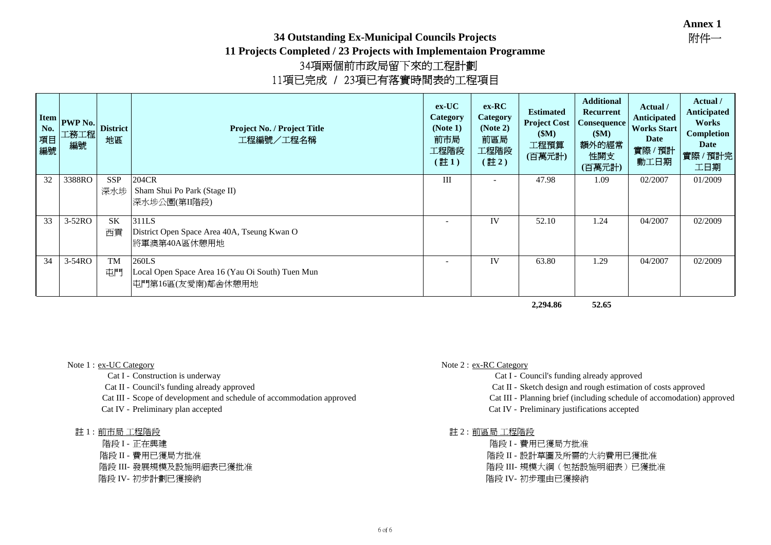### **34 Outstanding Ex-Municipal Councils Projects**

**11 Projects Completed / 23 Projects with Implementaion Programme** <sup>34</sup>項兩個前市政局留下來的工程計劃 <sup>11</sup>項已完成 / 23項已有落實時間表的工程項目

| <b>Item</b><br>No.<br>項目<br>編號 | <b>PWP No.</b><br>工務工程<br>編號 | <b>District</b><br>地區 | Project No. / Project Title<br>工程編號/工程名稱         | $ex-UC$<br><b>Category</b><br>(Note 1)<br>前市局<br>工程階段<br>[註1) | $ex-RC$<br><b>Category</b><br>(Note 2)<br>前區局<br>工程階段<br>(註2) | <b>Estimated</b><br><b>Project Cost</b><br>\$M\$<br>工程預算<br>(百萬元計) | <b>Additional</b><br>Recurrent<br>Consequence<br>(SM)<br>額外的經常<br>性開支<br>(百萬元計) | Actual /<br>Anticipated<br><b>Works Start</b><br>Date<br>實際/預計<br>動工日期 | Actual /<br>Anticipated<br>Works<br><b>Completion</b><br>Date<br>實際 / 預計完<br>工日期 |
|--------------------------------|------------------------------|-----------------------|--------------------------------------------------|---------------------------------------------------------------|---------------------------------------------------------------|--------------------------------------------------------------------|---------------------------------------------------------------------------------|------------------------------------------------------------------------|----------------------------------------------------------------------------------|
| 32                             | 3388RO                       | <b>SSP</b>            | 204CR                                            | III                                                           |                                                               | 47.98                                                              | 1.09                                                                            | 02/2007                                                                | 01/2009                                                                          |
|                                |                              | 深水埗                   | Sham Shui Po Park (Stage II)                     |                                                               |                                                               |                                                                    |                                                                                 |                                                                        |                                                                                  |
|                                |                              |                       | 深水埗公園(第II階段)                                     |                                                               |                                                               |                                                                    |                                                                                 |                                                                        |                                                                                  |
| 33                             | 3-52RO                       | <b>SK</b>             | 311LS                                            |                                                               | IV                                                            | 52.10                                                              | 1.24                                                                            | 04/2007                                                                | 02/2009                                                                          |
|                                |                              | 西貢                    | District Open Space Area 40A, Tseung Kwan O      |                                                               |                                                               |                                                                    |                                                                                 |                                                                        |                                                                                  |
|                                |                              |                       | 將軍澳第40A區休憩用地                                     |                                                               |                                                               |                                                                    |                                                                                 |                                                                        |                                                                                  |
| 34                             | 3-54RO                       | <b>TM</b>             | 260LS                                            |                                                               | IV                                                            | 63.80                                                              | 1.29                                                                            | 04/2007                                                                | 02/2009                                                                          |
|                                |                              | 屯門                    | Local Open Space Area 16 (Yau Oi South) Tuen Mun |                                                               |                                                               |                                                                    |                                                                                 |                                                                        |                                                                                  |
|                                |                              |                       | 屯門第16區(友愛南)鄰舍休憩用地                                |                                                               |                                                               |                                                                    |                                                                                 |                                                                        |                                                                                  |

**2,294.86 52.65**

- 
- 
- 
- 

註 1 : 前市局工程階段<br>階段 I - 正在興建

- 
- 
- 
- 

### Note 1 : ex-UC Category Note 2 : ex-RC Category

- Cat I Construction is underway Cat I Council's funding already approved
- Cat II Council's funding already approved Cat II Sketch design and rough estimation of costs approved
- Cat III Blanning brief (including schedule of accommodation approved Cat III Planning brief (including schedule of accomodation) approved
- Cat IV Preliminary plan accepted Cat IV Preliminary justifications accepted

# 工程階段 $\overline{1}$ 程階段 $\overline{1}$

- 
- 工程階段 階段 I 正在興建 階段 I 費用已獲局方批准 階段 II 費用已獲局方批准 階段 II 設計草圖及所需的大約費用已獲批准 階段 III- 發展規模及設施明細表已獲批准 階段 III- 規模大綱(包括設施明細表)已獲批准 階段 IV- 初步計劃已獲接納 階段 IV- 初步理由已獲接納
	-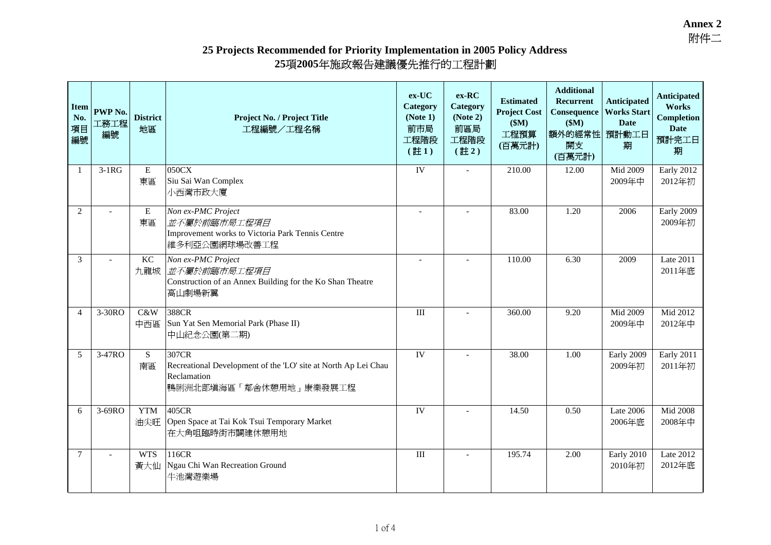### **25 Projects Recommended for Priority Implementation in 2005 Policy Address 25 nmended for Priority Implementation in 2005 Polic**<br>項2005年施政報告建議優先推行的工程計劃

| <b>Item</b><br>No.<br>項目<br>編號 | PWP No.<br>工務工程<br>編號 | <b>District</b><br>地區 | Project No. / Project Title<br>工程編號/工程名稱                                                                         | $ex-UC$<br>Category<br>(Note 1)<br>前市局<br>工程階段<br>$(\pm 1)$ | $ex-RC$<br>Category<br>(Note 2)<br>前區局<br>工程階段<br>$(\pm 2)$ | <b>Estimated</b><br><b>Project Cost</b><br>\$M\$<br>工程預算<br>(百萬元計) | <b>Additional</b><br>Recurrent<br>Consequence<br>\$M\$<br>額外的經常性 預計動工日<br>開支<br>(百萬元計) | <b>Anticipated</b><br><b>Works Start</b><br><b>Date</b><br>期 | <b>Anticipated</b><br>Works<br><b>Completion</b><br><b>Date</b><br>預計完工日<br>期 |
|--------------------------------|-----------------------|-----------------------|------------------------------------------------------------------------------------------------------------------|-------------------------------------------------------------|-------------------------------------------------------------|--------------------------------------------------------------------|----------------------------------------------------------------------------------------|--------------------------------------------------------------|-------------------------------------------------------------------------------|
| $\mathbf{1}$                   | $3-1RG$               | ${\bf E}$<br>東區       | 050CX<br>Siu Sai Wan Complex<br>小西灣市政大廈                                                                          | IV                                                          |                                                             | 210.00                                                             | 12.00                                                                                  | Mid 2009<br>2009年中                                           | Early 2012<br>2012年初                                                          |
| 2                              |                       | ${\bf E}$<br>東區       | Non ex-PMC Project<br>並不屬於前臨市局工程項目<br>Improvement works to Victoria Park Tennis Centre<br>維多利亞公園網球場改善工程          | $\overline{a}$                                              |                                                             | 83.00                                                              | 1.20                                                                                   | 2006                                                         | Early 2009<br>2009年初                                                          |
| 3                              |                       | $\rm KC$<br>九龍城       | Non ex-PMC Project<br>並不屬於前臨市局工程項目<br>Construction of an Annex Building for the Ko Shan Theatre<br>高山劇場新翼        | $\overline{\phantom{a}}$                                    |                                                             | 110.00                                                             | 6.30                                                                                   | 2009                                                         | Late 2011<br>2011年底                                                           |
| $\overline{4}$                 | 3-30RO                | C&W<br>中西區            | 388CR<br>Sun Yat Sen Memorial Park (Phase II)<br>中山紀念公園(第二期)                                                     | $\rm III$                                                   |                                                             | 360.00                                                             | 9.20                                                                                   | Mid 2009<br>2009年中                                           | Mid 2012<br>2012年中                                                            |
| 5                              | 3-47RO                | ${\bf S}$<br>南區       | 307CR<br>Recreational Development of the 'LO' site at North Ap Lei Chau<br>Reclamation<br>鴨脷洲北部填海區「鄰舍休憩用地」康樂發展工程 | IV                                                          |                                                             | 38.00                                                              | 1.00                                                                                   | Early 2009<br>2009年初                                         | Early 2011<br>2011年初                                                          |
| 6                              | 3-69RO                | <b>YTM</b><br>油尖旺     | 405CR<br>Open Space at Tai Kok Tsui Temporary Market<br>在大角咀臨時街市闢建休憩用地                                           | IV                                                          |                                                             | 14.50                                                              | 0.50                                                                                   | Late 2006<br>2006年底                                          | Mid 2008<br>2008年中                                                            |
| 7                              |                       | <b>WTS</b><br>黃大仙     | 116CR<br>Ngau Chi Wan Recreation Ground<br>牛池灣遊樂場                                                                | $\mathbf{III}$                                              |                                                             | 195.74                                                             | 2.00                                                                                   | Early 2010<br>2010年初                                         | Late 2012<br>2012年底                                                           |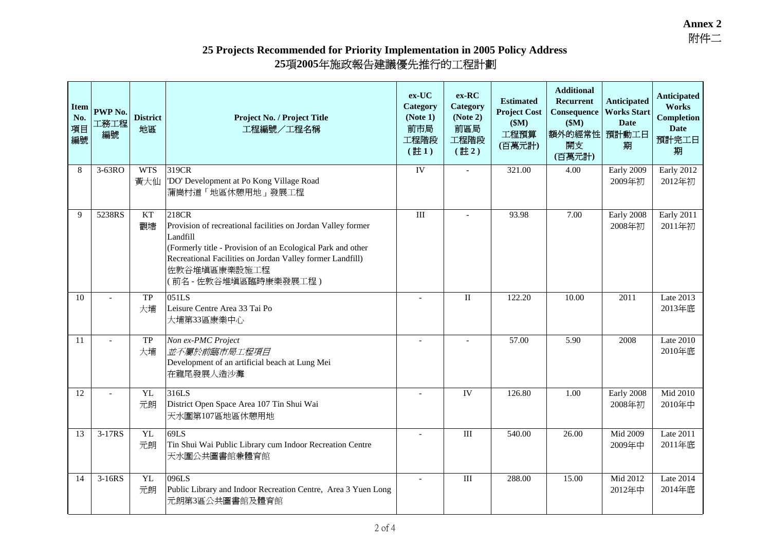### **25 Projects Recommended for Priority Implementation in 2005 Policy Address 25 nmended for Priority Implementation in 2005 Polic**<br>項2005年施政報告建議優先推行的工程計劃

| <b>Item</b><br>No.<br>項目<br>編號 | PWP No.<br>工務工程<br>編號 | <b>District</b><br>地區 | <b>Project No. / Project Title</b><br>工程編號/工程名稱                                                                                                                                                                                                      |                | ex-RC<br>Category<br>(Note 2)<br>前區局<br>工程階段<br>$(\pm 2)$ | <b>Estimated</b><br><b>Project Cost</b><br>\$M\$<br>工程預算<br>(百萬元計) | <b>Additional</b><br>Recurrent<br>Consequence<br>\$M\$<br>額外的經常性<br>開支<br>(百萬元計) | <b>Anticipated</b><br><b>Works Start</b><br><b>Date</b><br>預計動工日<br>期 | Anticipated<br>Works<br><b>Completion</b><br><b>Date</b><br>預計完工日<br>期 |
|--------------------------------|-----------------------|-----------------------|------------------------------------------------------------------------------------------------------------------------------------------------------------------------------------------------------------------------------------------------------|----------------|-----------------------------------------------------------|--------------------------------------------------------------------|----------------------------------------------------------------------------------|-----------------------------------------------------------------------|------------------------------------------------------------------------|
| 8                              | 3-63RO                | <b>WTS</b><br>黃大仙     | 319CR<br>'DO' Development at Po Kong Village Road<br>蒲崗村道「地區休憩用地」發展工程                                                                                                                                                                                | IV             |                                                           | 321.00                                                             | 4.00                                                                             | Early 2009<br>2009年初                                                  | Early 2012<br>2012年初                                                   |
| 9                              | 5238RS                | <b>KT</b><br>觀塘       | 218CR<br>Provision of recreational facilities on Jordan Valley former<br>Landfill<br>(Formerly title - Provision of an Ecological Park and other<br>Recreational Facilities on Jordan Valley former Landfill)<br>佐敦谷堆填區康樂設施工程<br>(前名-佐敦谷堆填區臨時康樂發展工程) | $\mathbf{III}$ |                                                           | 93.98                                                              | 7.00                                                                             | Early 2008<br>2008年初                                                  | Early 2011<br>2011年初                                                   |
| 10                             |                       | TP<br>大埔              | 051LS<br>Leisure Centre Area 33 Tai Po<br>大埔第33區康樂中心                                                                                                                                                                                                 |                | $\mathbf{I}$                                              | 122.20                                                             | 10.00                                                                            | 2011                                                                  | Late 2013<br>2013年底                                                    |
| 11                             |                       | <b>TP</b><br>大埔       | Non ex-PMC Project<br>並不屬於前臨市局工程項目<br>Development of an artificial beach at Lung Mei<br>在龍尾發展人造沙灘                                                                                                                                                    |                |                                                           | 57.00                                                              | 5.90                                                                             | 2008                                                                  | <b>Late 2010</b><br>2010年底                                             |
| 12                             |                       | YL<br>元朗              | 316LS<br>District Open Space Area 107 Tin Shui Wai<br>天水圍第107區地區休憩用地                                                                                                                                                                                 |                | IV                                                        | 126.80                                                             | 1.00                                                                             | Early 2008<br>2008年初                                                  | Mid 2010<br>2010年中                                                     |
| 13                             | 3-17RS                | <b>YL</b><br>元朗       | 69LS<br>Tin Shui Wai Public Library cum Indoor Recreation Centre<br>天水圍公共圖書館兼體育館                                                                                                                                                                     |                | $\rm III$                                                 | 540.00                                                             | 26.00                                                                            | Mid 2009<br>2009年中                                                    | Late 2011<br>2011年底                                                    |
| 14                             | $3-16RS$              | <b>YL</b><br>元朗       | 096LS<br>Public Library and Indoor Recreation Centre, Area 3 Yuen Long<br>元朗第3區公共圖書館及體育館                                                                                                                                                             |                | $\rm III$                                                 | 288.00                                                             | 15.00                                                                            | Mid 2012<br>2012年中                                                    | Late 2014<br>2014年底                                                    |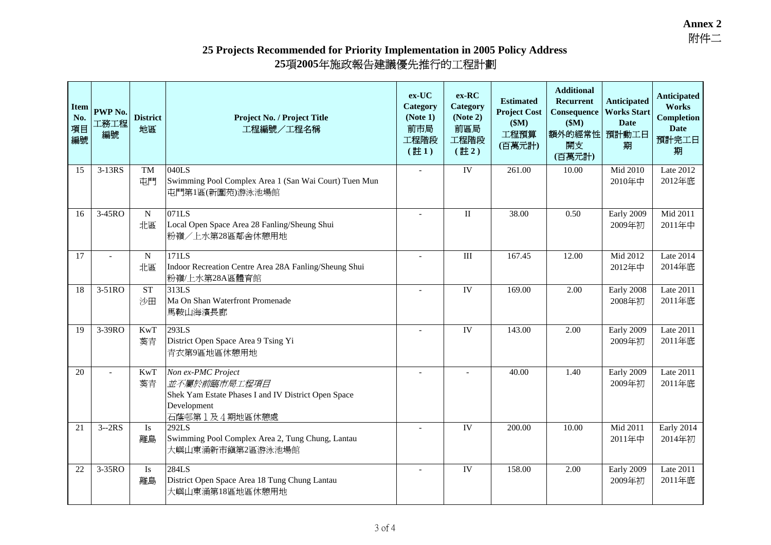### **25 Projects Recommended for Priority Implementation in 2005 Policy Address 25 nmended for Priority Implementation in 2005 Polic**<br>項2005年施政報告建議優先推行的工程計劃

| <b>Item</b><br>No.<br>項目<br>編號 | <b>PWP No.</b><br>工務工程<br>編號 | <b>District</b><br>地區 | Project No. / Project Title<br>工程編號/工程名稱                                                                                  | $ex-UC$<br>Category<br>(Note 1)<br>前市局<br>工程階段<br>$(\pm 1)$ | $ex-RC$<br>Category<br>(Note 2)<br>前區局<br>工程階段<br>$(\pm 2)$ | <b>Estimated</b><br><b>Project Cost</b><br>\$M\$<br>工程預算<br>(百萬元計) | <b>Additional</b><br>Recurrent<br>Consequence<br>\$M\$<br>額外的經常性<br>開支<br>(百萬元計) | <b>Anticipated</b><br><b>Works Start</b><br><b>Date</b><br>預計動工日<br>期 | Anticipated<br>Works<br><b>Completion</b><br><b>Date</b><br>預計完工日<br>期 |
|--------------------------------|------------------------------|-----------------------|---------------------------------------------------------------------------------------------------------------------------|-------------------------------------------------------------|-------------------------------------------------------------|--------------------------------------------------------------------|----------------------------------------------------------------------------------|-----------------------------------------------------------------------|------------------------------------------------------------------------|
| 15                             | 3-13RS                       | <b>TM</b><br>屯門       | 040LS<br>Swimming Pool Complex Area 1 (San Wai Court) Tuen Mun<br>屯門第1區(新圍苑)游泳池場館                                         | ${\rm IV}$                                                  |                                                             | 261.00                                                             | 10.00                                                                            | Mid 2010<br>2010年中                                                    | Late 2012<br>2012年底                                                    |
| 16                             | 3-45RO                       | $\mathbf N$<br>北區     | 071LS<br>Local Open Space Area 28 Fanling/Sheung Shui<br>粉嶺/上水第28區鄰舍休憩用地                                                  | $\overline{a}$                                              | $\mathbf{I}$                                                | 38.00                                                              | 0.50                                                                             | Early 2009<br>2009年初                                                  | Mid 2011<br>2011年中                                                     |
| 17                             |                              | N<br>北區               | 171LS<br>Indoor Recreation Centre Area 28A Fanling/Sheung Shui<br>粉嶺/上水第28A區體育館                                           |                                                             | $\rm III$                                                   | 167.45                                                             | 12.00                                                                            | Mid 2012<br>2012年中                                                    | Late 2014<br>2014年底                                                    |
| 18                             | 3-51RO                       | <b>ST</b><br>沙田       | 313LS<br>Ma On Shan Waterfront Promenade<br>馬鞍山海濱長廊                                                                       |                                                             | IV                                                          | 169.00                                                             | 2.00                                                                             | Early 2008<br>2008年初                                                  | Late 2011<br>2011年底                                                    |
| 19                             | 3-39RO                       | <b>KwT</b><br>葵青      | 293LS<br>District Open Space Area 9 Tsing Yi<br>青衣第9區地區休憩用地                                                               |                                                             | IV                                                          | 143.00                                                             | 2.00                                                                             | Early 2009<br>2009年初                                                  | Late 2011<br>2011年底                                                    |
| 20                             |                              | KwT<br>葵青             | Non ex-PMC Project<br>並不屬於前臨市局工程項目<br>Shek Yam Estate Phases I and IV District Open Space<br>Development<br>石蔭邨第1及4期地區休憩處 |                                                             |                                                             | 40.00                                                              | 1.40                                                                             | Early 2009<br>2009年初                                                  | Late 2011<br>2011年底                                                    |
| 21                             | $3 - 2RS$                    | <b>Is</b><br>離島       | 292LS<br>Swimming Pool Complex Area 2, Tung Chung, Lantau<br>大嶼山東涌新市鎮第2區游泳池場館                                             |                                                             | IV                                                          | 200.00                                                             | 10.00                                                                            | Mid 2011<br>2011年中                                                    | Early 2014<br>2014年初                                                   |
| 22                             | 3-35RO                       | Is<br>離島              | 284LS<br>District Open Space Area 18 Tung Chung Lantau<br>大嶼山東涌第18區地區休憩用地                                                 |                                                             | IV                                                          | 158.00                                                             | 2.00                                                                             | Early 2009<br>2009年初                                                  | Late 2011<br>2011年底                                                    |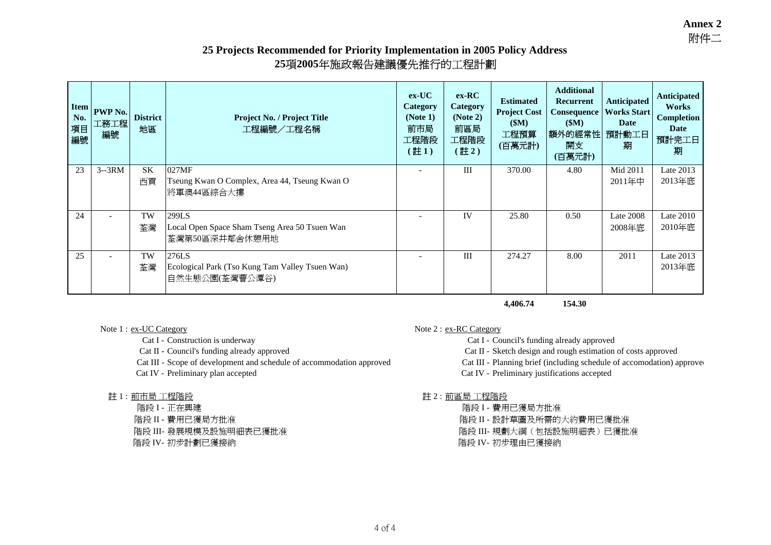# **25 Projects Recommended for Priority Implementation in 2005 Policy Address** ommended for Priority Implementation in 2005 Polic<br>25項2005年施政報告建議優先推行的工程計<mark>劃</mark>

| <b>Item</b><br>No.<br>項目<br>編號 | PWP No.<br>工務工程<br>編號 | <b>District</b><br>地區 | <b>Project No. / Project Title</b><br>工程編號/工程名稱                            | $ex-UC$<br>Category<br>(Note 1)<br>前市局<br>工程階段<br>(註1) | $ex-RC$<br>Category<br>(Note 2)<br>前區局<br>工程階段<br>(註2) | <b>Estimated</b><br><b>Project Cost</b><br>\$M\$<br>工程預算<br>(百萬元計) | <b>Additional</b><br>Recurrent<br>Consequence<br>\$M)<br> 額外的經常性 <br>開支<br>(百萬元計) | <b>Anticipated</b><br><b>Works Start</b><br>Date<br>預計動工日<br>期 | Anticipated<br>Works<br><b>Completion</b><br>Date<br>預計完工日<br>期 |
|--------------------------------|-----------------------|-----------------------|----------------------------------------------------------------------------|--------------------------------------------------------|--------------------------------------------------------|--------------------------------------------------------------------|-----------------------------------------------------------------------------------|----------------------------------------------------------------|-----------------------------------------------------------------|
| 23                             | $3-3RM$               | <b>SK</b><br>西貢       | 027MF<br>Tseung Kwan O Complex, Area 44, Tseung Kwan O<br>將軍澳44區綜合大摟       |                                                        | III                                                    | 370.00                                                             | 4.80                                                                              | Mid 2011<br>2011年中                                             | Late 2013<br>2013年底                                             |
| 24                             |                       | TW<br>荃灣              | 299LS<br>Local Open Space Sham Tseng Area 50 Tsuen Wan<br>荃灣第50區深井鄰舍休憩用地   |                                                        | IV                                                     | 25.80                                                              | 0.50                                                                              | Late 2008<br>2008年底                                            | Late $2010$<br>2010年底                                           |
| 25                             |                       | TW<br>荃灣              | 276LS<br>Ecological Park (Tso Kung Tam Valley Tsuen Wan)<br>自然生態公園(荃灣曹公潭谷) | $\overline{\phantom{a}}$                               | III                                                    | 274.27                                                             | 8.00                                                                              | 2011                                                           | Late 2013<br>2013年底                                             |

**4,406.74 154.30**

Cat III - Scope of development and schedule of accommodation approved Cat III - Planning brief (including schedule of accomodation) approved

# ・・・・・・・・<br>註 1 : <u>前市局 工程階段</u>

Note 1 : ex-UC Category Note 2 : ex-RC Category

Cat I - Construction is underway Cat I - Council's funding already approved

Cat II - Council's funding already approved Cat II - Sketch design and rough estimation of costs approved

Cat IV - Preliminary plan accepted Cat IV - Preliminary justifications accepted

註 2 : 前區局 工程階段<br>階段 I - 費用已獲局方批准 工程階段 階段 I - 正在興建 階段 I - 費用已獲局方批准 階段 II - 費用已獲局方批准 階段 II - 設計草圖及所需的大約費用已獲批准 階段 III- 發展規模及設施明細表已獲批准 階段 III- 規劃大綱(包括設施明細表)已獲批准 階段 IV- 初步計劃已獲接納 階段 IV- 初步理由已獲接納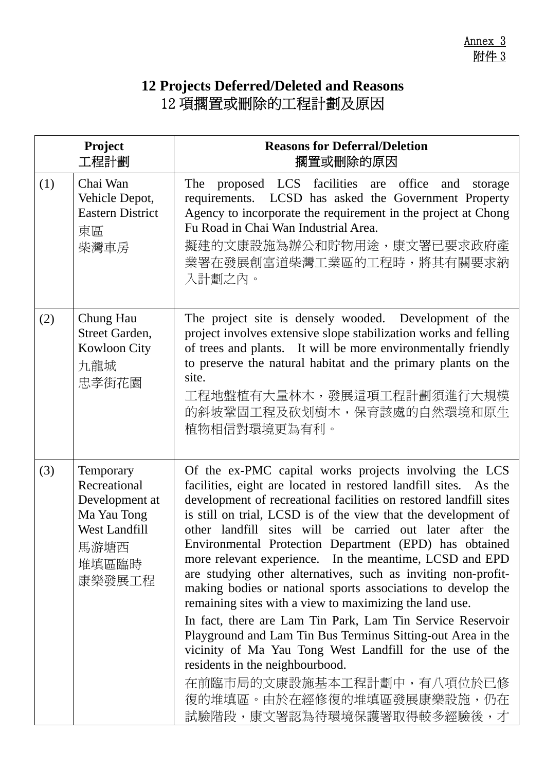# **12 Projects Deferred/Deleted and Reasons**  12 項擱置或刪除的工程計劃及原因

|     | Project<br>工程計劃                                                                                               | <b>Reasons for Deferral/Deletion</b><br>擱置或刪除的原因                                                                                                                                                                                                                                                                                                                                                                                                                                                                                                                                                                                                                                                                                                                                                                                                                                                                                                                  |
|-----|---------------------------------------------------------------------------------------------------------------|-------------------------------------------------------------------------------------------------------------------------------------------------------------------------------------------------------------------------------------------------------------------------------------------------------------------------------------------------------------------------------------------------------------------------------------------------------------------------------------------------------------------------------------------------------------------------------------------------------------------------------------------------------------------------------------------------------------------------------------------------------------------------------------------------------------------------------------------------------------------------------------------------------------------------------------------------------------------|
| (1) | Chai Wan<br>Vehicle Depot,<br><b>Eastern District</b><br>東區<br>柴灣車房                                           | The proposed LCS facilities are office<br>and<br>storage<br>requirements. LCSD has asked the Government Property<br>Agency to incorporate the requirement in the project at Chong<br>Fu Road in Chai Wan Industrial Area.<br>擬建的文康設施為辦公和貯物用途,康文署已要求政府產<br>業署在發展創富道柴灣工業區的工程時,將其有關要求納<br>入計劃之內。                                                                                                                                                                                                                                                                                                                                                                                                                                                                                                                                                                                                                                                                     |
| (2) | Chung Hau<br>Street Garden,<br>Kowloon City<br>九龍城<br>忠孝街花園                                                   | The project site is densely wooded. Development of the<br>project involves extensive slope stabilization works and felling<br>of trees and plants. It will be more environmentally friendly<br>to preserve the natural habitat and the primary plants on the<br>site.<br>工程地盤植有大量林木,發展這項工程計劃須進行大規模<br>的斜坡鞏固工程及砍划樹木,保育該處的自然環境和原生<br>植物相信對環境更為有利。                                                                                                                                                                                                                                                                                                                                                                                                                                                                                                                                                                                                                   |
| (3) | Temporary<br>Recreational<br>Development at<br>Ma Yau Tong<br><b>West Landfill</b><br>馬游塘西<br>堆填區臨時<br>康樂發展工程 | Of the ex-PMC capital works projects involving the LCS<br>facilities, eight are located in restored landfill sites. As the<br>development of recreational facilities on restored landfill sites<br>is still on trial, LCSD is of the view that the development of<br>other landfill sites will be carried out later after the<br>Environmental Protection Department (EPD) has obtained<br>more relevant experience. In the meantime, LCSD and EPD<br>are studying other alternatives, such as inviting non-profit-<br>making bodies or national sports associations to develop the<br>remaining sites with a view to maximizing the land use.<br>In fact, there are Lam Tin Park, Lam Tin Service Reservoir<br>Playground and Lam Tin Bus Terminus Sitting-out Area in the<br>vicinity of Ma Yau Tong West Landfill for the use of the<br>residents in the neighbourbood.<br>在前臨市局的文康設施基本工程計劃中,有八項位於已修<br>復的堆填區。由於在經修復的堆填區發展康樂設施,仍在<br>試驗階段,康文署認為待環境保護署取得較多經驗後,才 |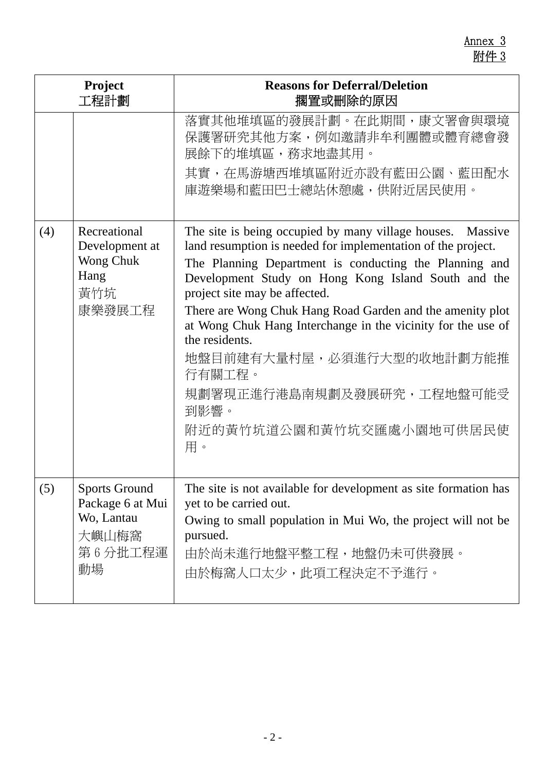|     | <b>Project</b><br>工程計劃                                                           | <b>Reasons for Deferral/Deletion</b><br>擱置或刪除的原因                                                                                                                                                                                                                                                                                                                                                                                                                                                                                          |
|-----|----------------------------------------------------------------------------------|-------------------------------------------------------------------------------------------------------------------------------------------------------------------------------------------------------------------------------------------------------------------------------------------------------------------------------------------------------------------------------------------------------------------------------------------------------------------------------------------------------------------------------------------|
|     |                                                                                  | 落實其他堆填區的發展計劃。在此期間,康文署會與環境<br>保護署研究其他方案,例如邀請非牟利團體或體育總會發<br>展餘下的堆填區,務求地盡其用。<br>其實,在馬游塘西堆填區附近亦設有藍田公園、藍田配水<br>庫遊樂場和藍田巴士總站休憩處,供附近居民使用。                                                                                                                                                                                                                                                                                                                                                                                                         |
| (4) | Recreational<br>Development at<br>Wong Chuk<br>Hang<br>黃竹坑<br>康樂發展工程             | The site is being occupied by many village houses. Massive<br>land resumption is needed for implementation of the project.<br>The Planning Department is conducting the Planning and<br>Development Study on Hong Kong Island South and the<br>project site may be affected.<br>There are Wong Chuk Hang Road Garden and the amenity plot<br>at Wong Chuk Hang Interchange in the vicinity for the use of<br>the residents.<br>地盤目前建有大量村屋,必須進行大型的收地計劃方能推<br>行有關工程。<br>規劃署現正進行港島南規劃及發展研究,工程地盤可能受<br>到影響。<br>附近的黃竹坑道公園和黃竹坑交匯處小園地可供居民使<br>用。 |
| (5) | <b>Sports Ground</b><br>Package 6 at Mui<br>Wo, Lantau<br>大嶼山梅窩<br>第6分批工程運<br>動場 | The site is not available for development as site formation has<br>yet to be carried out.<br>Owing to small population in Mui Wo, the project will not be<br>pursued.<br>由於尚未進行地盤平整工程,地盤仍未可供發展。<br>由於梅窩人口太少,此項工程決定不予進行。                                                                                                                                                                                                                                                                                                                   |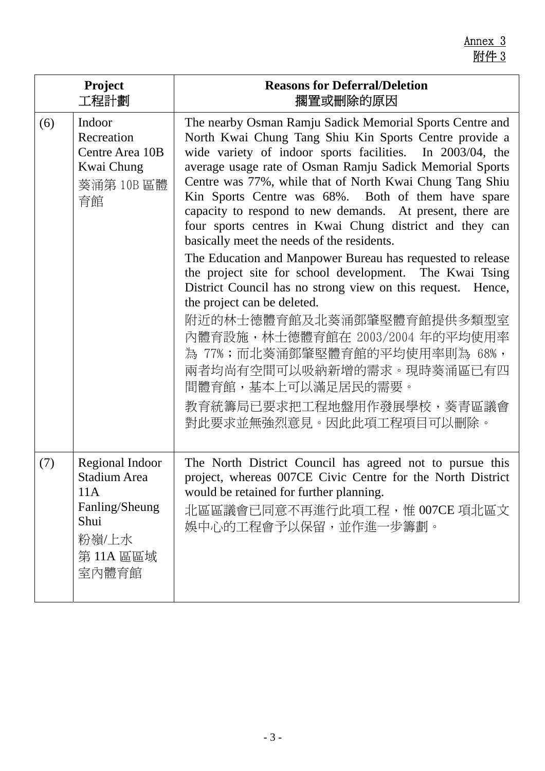|     | Project                                                                                        | <b>Reasons for Deferral/Deletion</b>                                                                                                                                                                                                                                                                                                                                                                                                                                                                                                                                                                                                                                                                                                                                                                                                                                                                                                                                    |
|-----|------------------------------------------------------------------------------------------------|-------------------------------------------------------------------------------------------------------------------------------------------------------------------------------------------------------------------------------------------------------------------------------------------------------------------------------------------------------------------------------------------------------------------------------------------------------------------------------------------------------------------------------------------------------------------------------------------------------------------------------------------------------------------------------------------------------------------------------------------------------------------------------------------------------------------------------------------------------------------------------------------------------------------------------------------------------------------------|
|     | 工程計劃                                                                                           | 擱置或刪除的原因                                                                                                                                                                                                                                                                                                                                                                                                                                                                                                                                                                                                                                                                                                                                                                                                                                                                                                                                                                |
| (6) | Indoor<br>Recreation<br>Centre Area 10B<br>Kwai Chung<br>葵涌第10B區體<br>育館                        | The nearby Osman Ramju Sadick Memorial Sports Centre and<br>North Kwai Chung Tang Shiu Kin Sports Centre provide a<br>wide variety of indoor sports facilities. In 2003/04, the<br>average usage rate of Osman Ramju Sadick Memorial Sports<br>Centre was 77%, while that of North Kwai Chung Tang Shiu<br>Kin Sports Centre was 68%. Both of them have spare<br>capacity to respond to new demands. At present, there are<br>four sports centres in Kwai Chung district and they can<br>basically meet the needs of the residents.<br>The Education and Manpower Bureau has requested to release<br>the project site for school development. The Kwai Tsing<br>District Council has no strong view on this request. Hence,<br>the project can be deleted.<br>附近的林士德體育館及北葵涌鄧肇堅體育館提供多類型室<br>內體育設施,林士德體育館在 2003/2004 年的平均使用率<br>為 77%;而北葵涌鄧肇堅體育館的平均使用率則為 68%,<br>兩者均尚有空間可以吸納新增的需求。現時葵涌區已有四<br>間體育館,基本上可以滿足居民的需要。<br>教育統籌局已要求把工程地盤用作發展學校,葵青區議會<br>對此要求並無強烈意見。因此此項工程項目可以刪除。 |
| (7) | Regional Indoor<br>Stadium Area<br>11A<br>Fanling/Sheung<br>Shui<br>粉嶺/上水<br>第11A 區區域<br>室內體育館 | The North District Council has agreed not to pursue this<br>project, whereas 007CE Civic Centre for the North District<br>would be retained for further planning.<br>北區區議會已同意不再進行此項工程,惟 007CE 項北區文<br>娛中心的工程會予以保留,並作進一步籌劃。                                                                                                                                                                                                                                                                                                                                                                                                                                                                                                                                                                                                                                                                                                                                              |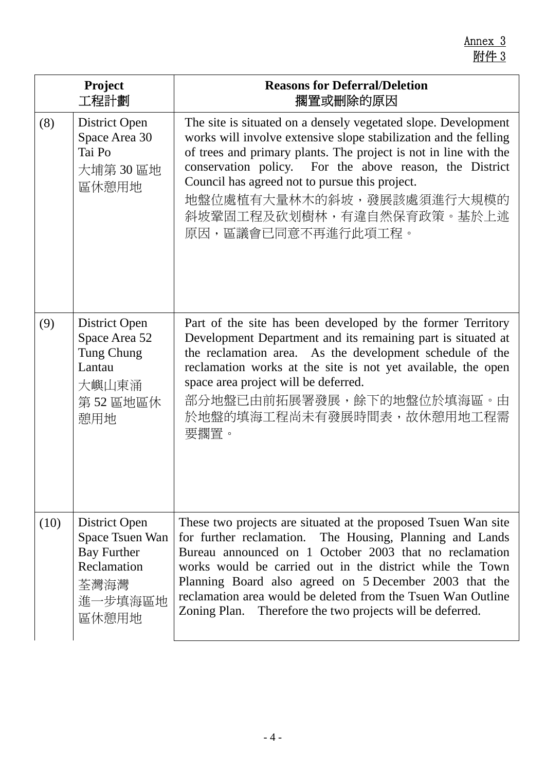|      | Project<br>工程計劃                                                                                   | <b>Reasons for Deferral/Deletion</b><br>擱置或刪除的原因                                                                                                                                                                                                                                                                                                                                                                                         |
|------|---------------------------------------------------------------------------------------------------|------------------------------------------------------------------------------------------------------------------------------------------------------------------------------------------------------------------------------------------------------------------------------------------------------------------------------------------------------------------------------------------------------------------------------------------|
| (8)  | District Open<br>Space Area 30<br>Tai Po<br>大埔第30區地<br>區休憩用地                                      | The site is situated on a densely vegetated slope. Development<br>works will involve extensive slope stabilization and the felling<br>of trees and primary plants. The project is not in line with the<br>conservation policy. For the above reason, the District<br>Council has agreed not to pursue this project.<br>地盤位處植有大量林木的斜坡,發展該處須進行大規模的<br>斜坡鞏固工程及砍划樹林,有違自然保育政策。基於上述<br>原因,區議會已同意不再進行此項工程。                                      |
| (9)  | District Open<br>Space Area 52<br>Tung Chung<br>Lantau<br>大嶼山東涌<br>第52區地區休<br>憩用地                 | Part of the site has been developed by the former Territory<br>Development Department and its remaining part is situated at<br>the reclamation area. As the development schedule of the<br>reclamation works at the site is not yet available, the open<br>space area project will be deferred.<br>部分地盤已由前拓展署發展,餘下的地盤位於填海區。由<br>於地盤的填海工程尚未有發展時間表,故休憩用地工程需<br>要擱置。                                                                        |
| (10) | District Open<br>Space Tsuen Wan<br><b>Bay Further</b><br>Reclamation<br>荃灣海灣<br>進一步填海區地<br>區休憩用地 | These two projects are situated at the proposed Tsuen Wan site<br>for further reclamation. The Housing, Planning and Lands<br>Bureau announced on 1 October 2003 that no reclamation<br>works would be carried out in the district while the Town<br>Planning Board also agreed on 5 December 2003 that the<br>reclamation area would be deleted from the Tsuen Wan Outline<br>Zoning Plan. Therefore the two projects will be deferred. |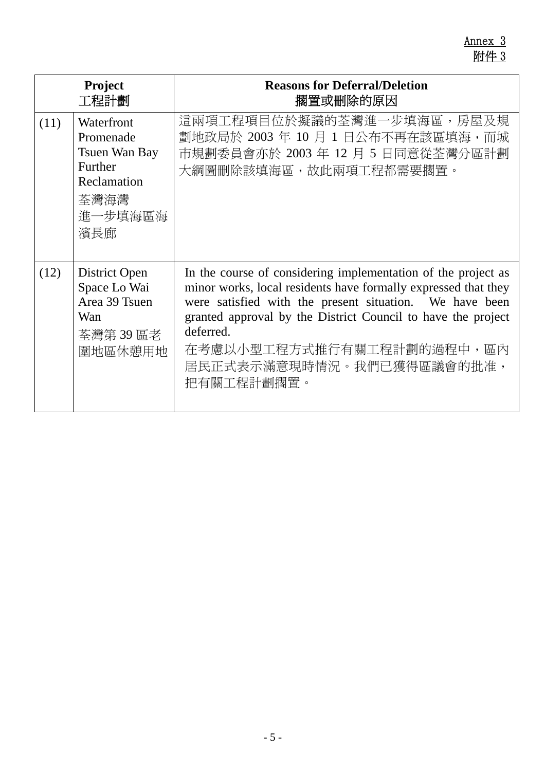Annex 3 附件 3

| <b>Project</b><br>工程計劃 |                                                                                              | <b>Reasons for Deferral/Deletion</b><br>擱置或刪除的原因                                                                                                                                                                                                                                                                                                |
|------------------------|----------------------------------------------------------------------------------------------|-------------------------------------------------------------------------------------------------------------------------------------------------------------------------------------------------------------------------------------------------------------------------------------------------------------------------------------------------|
| (11)                   | Waterfront<br>Promenade<br>Tsuen Wan Bay<br>Further<br>Reclamation<br>荃灣海灣<br>進一步填海區海<br>濱長廊 | 這兩項工程項目位於擬議的荃灣進一步填海區,房屋及規<br>劃地政局於 2003 年 10 月 1 日公布不再在該區填海,而城<br>市規劃委員會亦於 2003 年 12 月 5 日同意從荃灣分區計劃<br>大綱圖刪除該填海區,故此兩項工程都需要擱置。                                                                                                                                                                                                                   |
| (12)                   | District Open<br>Space Lo Wai<br>Area 39 Tsuen<br>Wan<br>荃灣第39區老<br>圍地區休憩用地                  | In the course of considering implementation of the project as<br>minor works, local residents have formally expressed that they<br>were satisfied with the present situation. We have been<br>granted approval by the District Council to have the project<br>deferred.<br>在考慮以小型工程方式推行有關工程計劃的過程中,區內<br>居民正式表示滿意現時情況。我們已獲得區議會的批准,<br>把有關工程計劃擱置。 |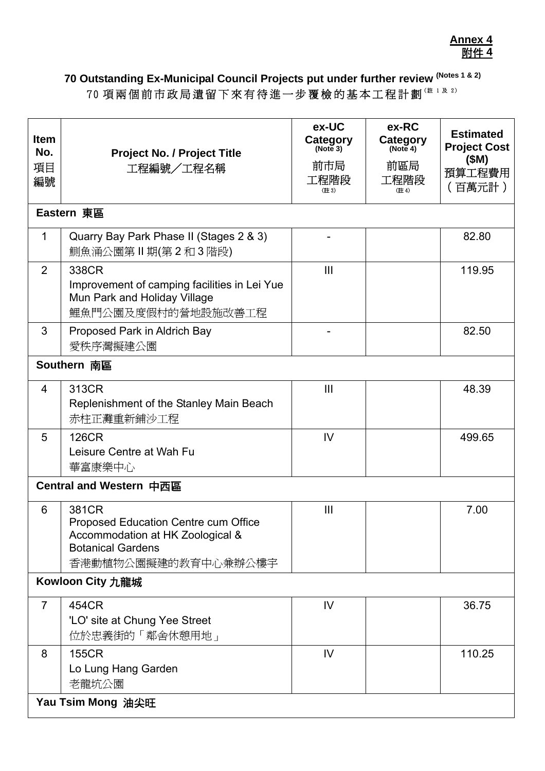## **70 Outstanding Ex-Municipal Council Projects put under further review (Notes 1 & 2)**  70 項兩個前市政局遺留下來有待進一步覆檢的基本工程計劃 ( # 1 及 2)

| <b>Item</b><br>No.<br>項目<br>編號 | <b>Project No. / Project Title</b><br>工程編號/工程名稱                                                                                             | ex-UC<br>Category<br>(Note 3)<br>前市局<br>工程階段<br>(註3) | ex-RC<br>Category<br>(Note 4)<br>前區局<br>工程階段<br>(註4) | <b>Estimated</b><br><b>Project Cost</b><br>(SM)<br>預算工程費用<br>(百萬元計) |  |  |
|--------------------------------|---------------------------------------------------------------------------------------------------------------------------------------------|------------------------------------------------------|------------------------------------------------------|---------------------------------------------------------------------|--|--|
|                                | Eastern 東區                                                                                                                                  |                                                      |                                                      |                                                                     |  |  |
| 1                              | Quarry Bay Park Phase II (Stages 2 & 3)<br>鰂魚涌公園第Ⅱ期(第2和3階段)                                                                                 |                                                      |                                                      | 82.80                                                               |  |  |
| 2                              | 338CR<br>Improvement of camping facilities in Lei Yue<br>Mun Park and Holiday Village<br>鯉魚門公園及度假村的營地設施改善工程                                 | III                                                  |                                                      | 119.95                                                              |  |  |
| 3                              | Proposed Park in Aldrich Bay<br>愛秩序灣擬建公園                                                                                                    |                                                      |                                                      | 82.50                                                               |  |  |
|                                | Southern 南區                                                                                                                                 |                                                      |                                                      |                                                                     |  |  |
| $\overline{4}$                 | 313CR<br>Replenishment of the Stanley Main Beach<br>赤柱正灘重新鋪沙工程                                                                              | Ш                                                    |                                                      | 48.39                                                               |  |  |
| 5                              | <b>126CR</b><br>Leisure Centre at Wah Fu<br>華富康樂中心                                                                                          | IV                                                   |                                                      | 499.65                                                              |  |  |
|                                | Central and Western 中西區                                                                                                                     |                                                      |                                                      |                                                                     |  |  |
| 6                              | 381CR<br><b>Proposed Education Centre cum Office</b><br>Accommodation at HK Zoological &<br><b>Botanical Gardens</b><br>香港動植物公園擬建的教育中心兼辦公樓宇 | Ш                                                    |                                                      | 7.00                                                                |  |  |
|                                | Kowloon City 九龍城                                                                                                                            |                                                      |                                                      |                                                                     |  |  |
| $\overline{7}$                 | 454CR<br>'LO' site at Chung Yee Street<br>位於忠義街的「鄰舍休憩用地」                                                                                    | IV                                                   |                                                      | 36.75                                                               |  |  |
| 8                              | <b>155CR</b><br>Lo Lung Hang Garden<br>老龍坑公園                                                                                                | IV                                                   |                                                      | 110.25                                                              |  |  |
|                                | Yau Tsim Mong 油尖旺                                                                                                                           |                                                      |                                                      |                                                                     |  |  |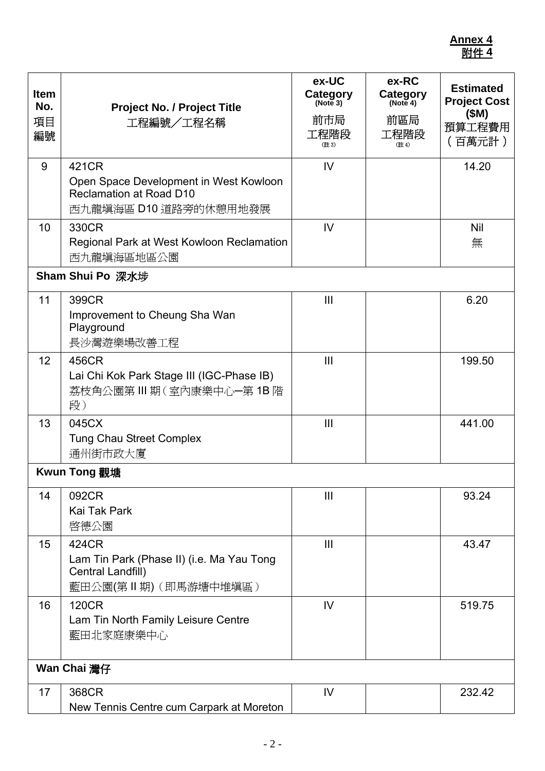| <b>Item</b><br>No.<br>項目<br>編號 | <b>Project No. / Project Title</b><br>工程編號/工程名稱                                                            | ex-UC<br>Category<br>(Note 3)<br>前市局<br>工程階段<br>(註3) | ex-RC<br>Category<br>前區局<br>工程階段<br>(註4) | <b>Estimated</b><br><b>Project Cost</b><br>(SM)<br>預算工程費用<br>(百萬元計) |
|--------------------------------|------------------------------------------------------------------------------------------------------------|------------------------------------------------------|------------------------------------------|---------------------------------------------------------------------|
| 9                              | 421CR<br>Open Space Development in West Kowloon<br><b>Reclamation at Road D10</b><br>西九龍填海區 D10 道路旁的休憩用地發展 | IV                                                   |                                          | 14.20                                                               |
| 10                             | 330CR<br>Regional Park at West Kowloon Reclamation<br>西九龍填海區地區公園                                           | IV                                                   |                                          | <b>Nil</b><br>無                                                     |
|                                | Sham Shui Po 深水埗                                                                                           |                                                      |                                          |                                                                     |
| 11                             | 399CR<br>Improvement to Cheung Sha Wan<br>Playground<br>長沙灣遊樂場改善工程                                         | $\mathbf{III}$                                       |                                          | 6.20                                                                |
| 12                             | 456CR<br>Lai Chi Kok Park Stage III (IGC-Phase IB)<br>荔枝角公園第Ⅲ期(室內康樂中心-第1B階<br>段)                           | III                                                  |                                          | 199.50                                                              |
| 13                             | 045CX<br><b>Tung Chau Street Complex</b><br>通州街市政大廈                                                        | $\mathbf{III}$                                       |                                          | 441.00                                                              |
|                                | Kwun Tong 觀塘                                                                                               |                                                      |                                          |                                                                     |
| 14                             | 092CR<br>Kai Tak Park<br>啓德公園                                                                              | $\mathbf{III}$                                       |                                          | 93.24                                                               |
| 15                             | 424CR<br>Lam Tin Park (Phase II) (i.e. Ma Yau Tong<br>Central Landfill)<br>藍田公園(第Ⅱ期)(即馬游塘中堆塡區)             | $\mathbf{III}$                                       |                                          | 43.47                                                               |
| 16                             | <b>120CR</b><br>Lam Tin North Family Leisure Centre<br>藍田北家庭康樂中心                                           | IV                                                   |                                          | 519.75                                                              |
|                                | Wan Chai 灣仔                                                                                                |                                                      |                                          |                                                                     |
| 17                             | 368CR<br>New Tennis Centre cum Carpark at Moreton                                                          | IV                                                   |                                          | 232.42                                                              |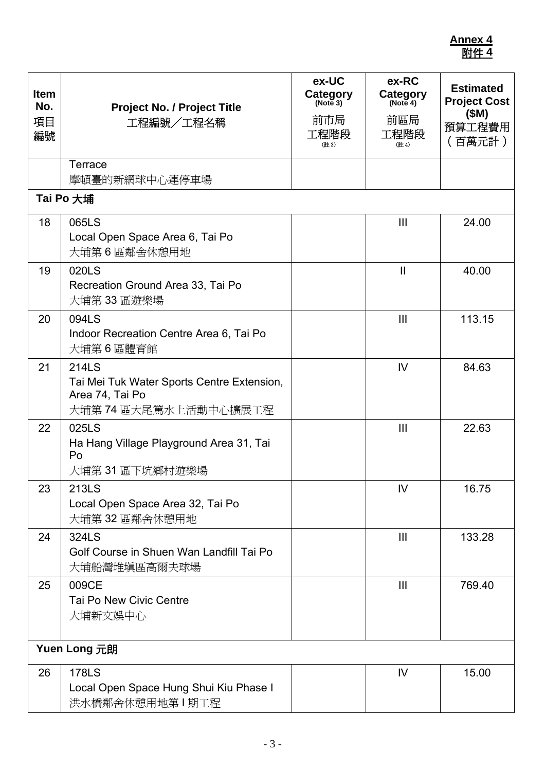| <b>Item</b><br>No.<br>項目<br>編號 | <b>Project No. / Project Title</b><br>工程編號/工程名稱                                                        | ex-UC<br>Category<br>(Note 3)<br>前市局<br>工程階段<br>(註3) | ex-RC<br>Category<br>前區局<br>工程階段<br>(註4) | <b>Estimated</b><br><b>Project Cost</b><br>(SM)<br>預算工程費用<br>(百萬元計) |
|--------------------------------|--------------------------------------------------------------------------------------------------------|------------------------------------------------------|------------------------------------------|---------------------------------------------------------------------|
|                                | Terrace<br>摩頓臺的新網球中心連停車場                                                                               |                                                      |                                          |                                                                     |
|                                | Tai Po 大埔                                                                                              |                                                      |                                          |                                                                     |
| 18                             | 065LS<br>Local Open Space Area 6, Tai Po<br>大埔第6區鄰舍休憩用地                                                |                                                      | $\mathbf{III}$                           | 24.00                                                               |
| 19                             | 020LS<br>Recreation Ground Area 33, Tai Po<br>大埔第 33 區遊樂場                                              |                                                      | $\mathbf{I}$                             | 40.00                                                               |
| 20                             | 094LS<br>Indoor Recreation Centre Area 6, Tai Po<br>大埔第6區體育館                                           |                                                      | $\mathbf{III}$                           | 113.15                                                              |
| 21                             | <b>214LS</b><br>Tai Mei Tuk Water Sports Centre Extension,<br>Area 74, Tai Po<br>大埔第 74 區大尾篤水上活動中心擴展工程 |                                                      | IV                                       | 84.63                                                               |
| 22                             | 025LS<br>Ha Hang Village Playground Area 31, Tai<br>Po<br>大埔第 31 區下坑鄉村遊樂場                              |                                                      | III                                      | 22.63                                                               |
| 23                             | 213LS<br>Local Open Space Area 32, Tai Po<br>大埔第 32 區鄰舍休憩用地                                            |                                                      | IV                                       | 16.75                                                               |
| 24                             | 324LS<br>Golf Course in Shuen Wan Landfill Tai Po<br>大埔船灣堆塡區高爾夫球場                                      |                                                      | $\mathbf{III}$                           | 133.28                                                              |
| 25                             | 009CE<br>Tai Po New Civic Centre<br>大埔新文娛中心                                                            |                                                      | $\mathbf{III}$                           | 769.40                                                              |
|                                | Yuen Long 元朗                                                                                           |                                                      |                                          |                                                                     |
| 26                             | <b>178LS</b><br>Local Open Space Hung Shui Kiu Phase I<br>洪水橋鄰舍休憩用地第Ⅰ期工程                               |                                                      | IV.                                      | 15.00                                                               |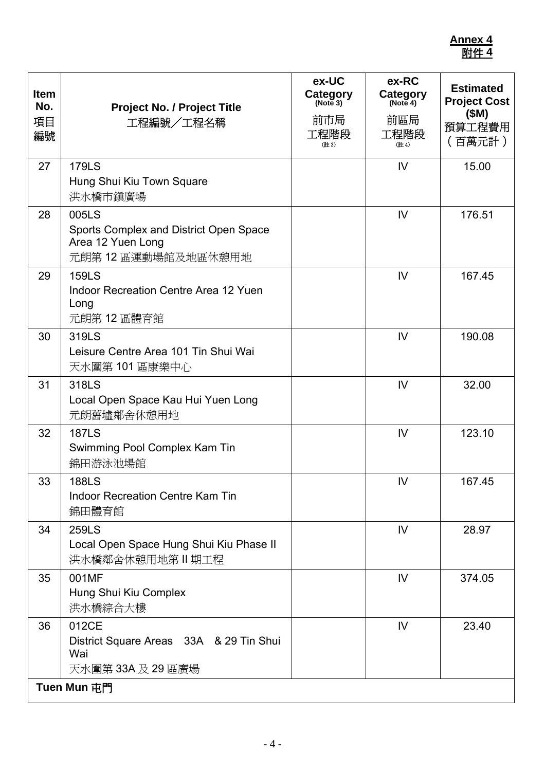| <b>Item</b><br>No.<br>項目<br>編號 | <b>Project No. / Project Title</b><br>工程編號/工程名稱                                           | ex-UC<br>Category<br>(Note 3)<br>前市局<br>工程階段<br>(註3) | ex-RC<br>Category<br>(Note 4)<br>前區局<br>工程階段<br>(註4) | <b>Estimated</b><br><b>Project Cost</b><br>(SM)<br>預算工程費用<br>(百萬元計) |
|--------------------------------|-------------------------------------------------------------------------------------------|------------------------------------------------------|------------------------------------------------------|---------------------------------------------------------------------|
| 27                             | <b>179LS</b><br>Hung Shui Kiu Town Square<br>洪水橋市鎭廣場                                      |                                                      | IV.                                                  | 15.00                                                               |
| 28                             | 005LS<br>Sports Complex and District Open Space<br>Area 12 Yuen Long<br>元朗第12區運動場館及地區休憩用地 |                                                      | IV                                                   | 176.51                                                              |
| 29                             | <b>159LS</b><br>Indoor Recreation Centre Area 12 Yuen<br>Long<br>元朗第12區體育館                |                                                      | IV                                                   | 167.45                                                              |
| 30                             | 319LS<br>Leisure Centre Area 101 Tin Shui Wai<br>天水圍第 101 區康樂中心                           |                                                      | IV                                                   | 190.08                                                              |
| 31                             | 318LS<br>Local Open Space Kau Hui Yuen Long<br>元朗舊墟鄰舍休憩用地                                 |                                                      | IV                                                   | 32.00                                                               |
| 32                             | <b>187LS</b><br>Swimming Pool Complex Kam Tin<br>錦田游泳池場館                                  |                                                      | IV                                                   | 123.10                                                              |
| 33                             | <b>188LS</b><br><b>Indoor Recreation Centre Kam Tin</b><br>錦田體育館                          |                                                      | IV.                                                  | 167.45                                                              |
| 34                             | <b>259LS</b><br>Local Open Space Hung Shui Kiu Phase II<br>洪水橋鄰舍休憩用地第Ⅱ期工程                 |                                                      | IV                                                   | 28.97                                                               |
| 35                             | 001MF<br>Hung Shui Kiu Complex<br>洪水橋綜合大樓                                                 |                                                      | IV                                                   | 374.05                                                              |
| 36                             | 012CE<br>District Square Areas 33A & 29 Tin Shui<br>Wai<br>天水圍第 33A 及 29 區廣場              |                                                      | IV                                                   | 23.40                                                               |
|                                | Tuen Mun 屯門                                                                               |                                                      |                                                      |                                                                     |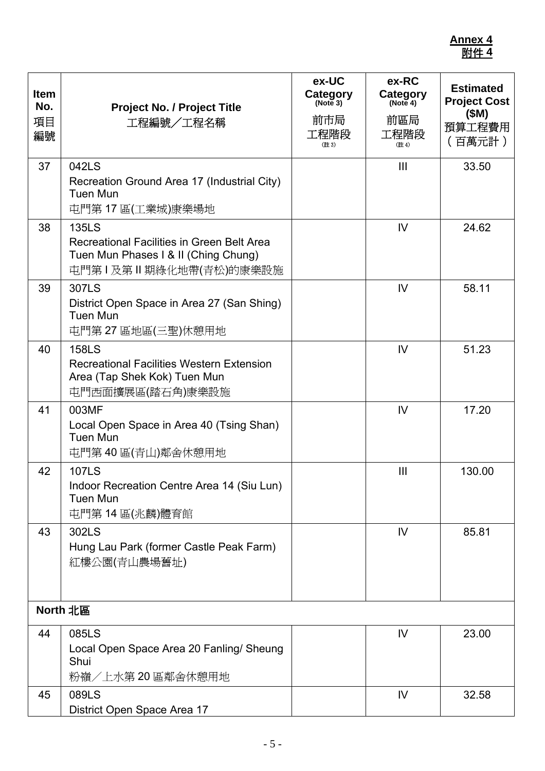| <b>Item</b><br>No.<br>項目<br>編號 | <b>Project No. / Project Title</b><br>工程編號/工程名稱                                                                             | ex-UC<br>Category<br>(Note 3)<br>前市局<br>工程階段<br>(註3) | ex-RC<br>Category<br>(Note 4)<br>前區局<br>工程階段<br>(註4) | <b>Estimated</b><br><b>Project Cost</b><br>(SM)<br>預算工程費用<br>(百萬元計) |
|--------------------------------|-----------------------------------------------------------------------------------------------------------------------------|------------------------------------------------------|------------------------------------------------------|---------------------------------------------------------------------|
| 37                             | 042LS<br>Recreation Ground Area 17 (Industrial City)<br><b>Tuen Mun</b><br>屯門第 17 區(工業城)康樂場地                                |                                                      | $\mathbf{III}$                                       | 33.50                                                               |
| 38                             | <b>135LS</b><br>Recreational Facilities in Green Belt Area<br>Tuen Mun Phases I & II (Ching Chung)<br>屯門第Ⅰ及第Ⅱ期綠化地帶(青松)的康樂設施 |                                                      | IV                                                   | 24.62                                                               |
| 39                             | 307LS<br>District Open Space in Area 27 (San Shing)<br><b>Tuen Mun</b><br>屯門第27區地區(三聖)休憩用地                                  |                                                      | IV                                                   | 58.11                                                               |
| 40                             | <b>158LS</b><br><b>Recreational Facilities Western Extension</b><br>Area (Tap Shek Kok) Tuen Mun<br>屯門西面擴展區(踏石角)康樂設施        |                                                      | IV                                                   | 51.23                                                               |
| 41                             | 003MF<br>Local Open Space in Area 40 (Tsing Shan)<br><b>Tuen Mun</b><br>屯門第40區(青山)鄰舍休憩用地                                    |                                                      | IV                                                   | 17.20                                                               |
| 42                             | <b>107LS</b><br>Indoor Recreation Centre Area 14 (Siu Lun)<br><b>Tuen Mun</b><br>屯門第14區(兆麟)體育館                              |                                                      | III                                                  | 130.00                                                              |
| 43                             | 302LS<br>Hung Lau Park (former Castle Peak Farm)<br>紅樓公園(青山農場舊址)                                                            |                                                      | IV                                                   | 85.81                                                               |
|                                | North 北區                                                                                                                    |                                                      |                                                      |                                                                     |
| 44                             | 085LS<br>Local Open Space Area 20 Fanling/ Sheung<br>Shui<br>粉嶺/上水第 20 區鄰舍休憩用地                                              |                                                      | IV                                                   | 23.00                                                               |
| 45                             | 089LS<br>District Open Space Area 17                                                                                        |                                                      | IV                                                   | 32.58                                                               |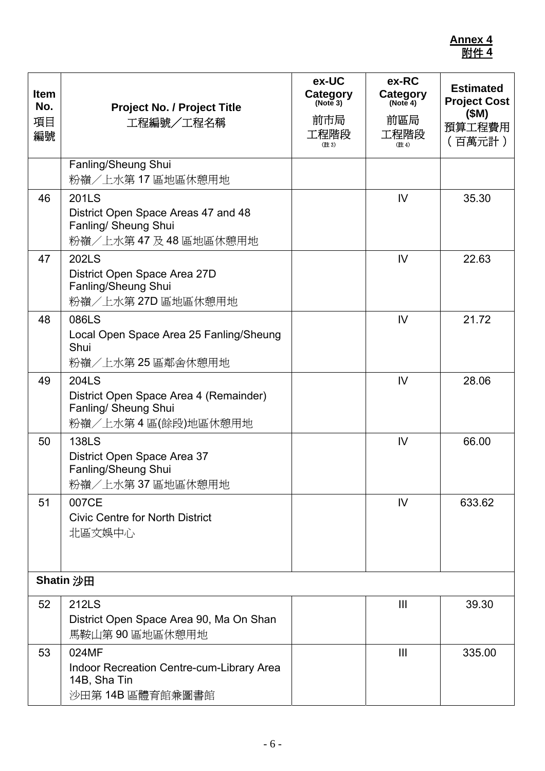| <b>Item</b><br>No.<br>項目<br>編號 | Project No. / Project Title<br>工程編號/工程名稱                                                             | ex-UC<br>Category<br>(Note 3)<br>前市局<br>工程階段<br>(註3) | ex-RC<br>Category<br>(Note 4)<br>前區局<br>工程階段<br>(註4) | <b>Estimated</b><br><b>Project Cost</b><br>(SM)<br>預算工程費用<br>(百萬元計) |
|--------------------------------|------------------------------------------------------------------------------------------------------|------------------------------------------------------|------------------------------------------------------|---------------------------------------------------------------------|
|                                | Fanling/Sheung Shui<br>粉嶺/上水第17區地區休憩用地                                                               |                                                      |                                                      |                                                                     |
| 46                             | <b>201LS</b><br>District Open Space Areas 47 and 48<br>Fanling/ Sheung Shui<br>粉嶺/上水第47及48區地區休憩用地    |                                                      | IV                                                   | 35.30                                                               |
| 47                             | 202LS<br>District Open Space Area 27D<br>Fanling/Sheung Shui<br>粉嶺/上水第27D區地區休憩用地                     |                                                      | IV                                                   | 22.63                                                               |
| 48                             | 086LS<br>Local Open Space Area 25 Fanling/Sheung<br>Shui<br>粉嶺/上水第 25 區鄰舍休憩用地                        |                                                      | IV                                                   | 21.72                                                               |
| 49                             | <b>204LS</b><br>District Open Space Area 4 (Remainder)<br>Fanling/ Sheung Shui<br>粉嶺/上水第4區(餘段)地區休憩用地 |                                                      | IV                                                   | 28.06                                                               |
| 50                             | <b>138LS</b><br>District Open Space Area 37<br>Fanling/Sheung Shui<br>粉嶺/上水第37區地區休憩用地                |                                                      | IV                                                   | 66.00                                                               |
| 51                             | 007CE<br><b>Civic Centre for North District</b><br>北區文娛中心                                            |                                                      | IV                                                   | 633.62                                                              |
|                                | <b>Shatin 沙田</b>                                                                                     |                                                      |                                                      |                                                                     |
| 52                             | <b>212LS</b><br>District Open Space Area 90, Ma On Shan<br>馬鞍山第90區地區休憩用地                             |                                                      | $\mathbf{III}$                                       | 39.30                                                               |
| 53                             | 024MF<br><b>Indoor Recreation Centre-cum-Library Area</b><br>14B, Sha Tin<br>沙田第14B區體育館兼圖書館          |                                                      | $\mathbf{III}$                                       | 335.00                                                              |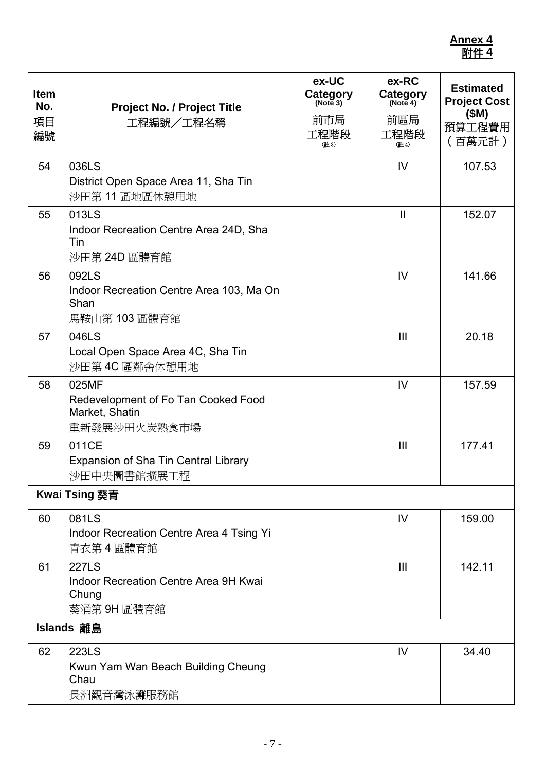| <b>Item</b><br>No.<br>項目<br>編號 | <b>Project No. / Project Title</b><br>工程編號/工程名稱                                | ex-UC<br>Category<br>(Note 3)<br>前市局<br>工程階段<br>(註3) | ex-RC<br>Category<br>(Note 4)<br>前區局<br>工程階段<br>(註4) | <b>Estimated</b><br><b>Project Cost</b><br>(SM)<br>預算工程費用<br>(百萬元計) |
|--------------------------------|--------------------------------------------------------------------------------|------------------------------------------------------|------------------------------------------------------|---------------------------------------------------------------------|
| 54                             | 036LS<br>District Open Space Area 11, Sha Tin<br>沙田第11區地區休憩用地                  |                                                      | IV                                                   | 107.53                                                              |
| 55                             | 013LS<br>Indoor Recreation Centre Area 24D, Sha<br>Tin<br>沙田第 24D 區體育館         |                                                      | $\mathbf{I}$                                         | 152.07                                                              |
| 56                             | 092LS<br>Indoor Recreation Centre Area 103, Ma On<br>Shan<br>馬鞍山第 103 區體育館     |                                                      | IV                                                   | 141.66                                                              |
| 57                             | 046LS<br>Local Open Space Area 4C, Sha Tin<br>沙田第4C區鄰舍休憩用地                     |                                                      | $\mathbf{III}$                                       | 20.18                                                               |
| 58                             | 025MF<br>Redevelopment of Fo Tan Cooked Food<br>Market, Shatin<br>重新發展沙田火炭熟食市場 |                                                      | IV                                                   | 157.59                                                              |
| 59                             | 011CE<br><b>Expansion of Sha Tin Central Library</b><br>沙田中央圖書館擴展工程            |                                                      | III                                                  | 177.41                                                              |
|                                | <b>Kwai Tsing 葵青</b>                                                           |                                                      |                                                      |                                                                     |
| 60                             | 081LS<br>Indoor Recreation Centre Area 4 Tsing Yi<br>青衣第4區體育館                  |                                                      | IV                                                   | 159.00                                                              |
| 61                             | <b>227LS</b><br>Indoor Recreation Centre Area 9H Kwai<br>Chung<br>葵涌第 9H 區體育館  |                                                      | $\mathbf{III}$                                       | 142.11                                                              |
|                                | Islands 離島                                                                     |                                                      |                                                      |                                                                     |
| 62                             | <b>223LS</b><br>Kwun Yam Wan Beach Building Cheung<br>Chau<br>長洲觀音灣泳灘服務館       |                                                      | IV                                                   | 34.40                                                               |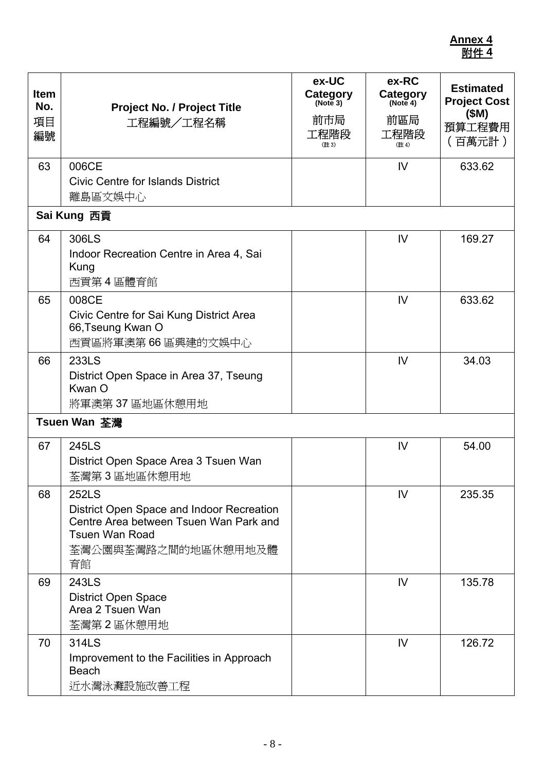| <b>Item</b><br>No.<br>項目<br>編號 | <b>Project No. / Project Title</b><br>工程編號/工程名稱                                                                                                           | ex-UC<br>Category<br>(Note 3)<br>前市局<br>工程階段<br>(註3) | ex-RC<br>Category<br>(Note 4)<br>前區局<br>工程階段<br>(註4) | <b>Estimated</b><br><b>Project Cost</b><br>(SM)<br>預算工程費用<br>(百萬元計) |
|--------------------------------|-----------------------------------------------------------------------------------------------------------------------------------------------------------|------------------------------------------------------|------------------------------------------------------|---------------------------------------------------------------------|
| 63                             | 006CE<br><b>Civic Centre for Islands District</b><br>離島區文娛中心                                                                                              |                                                      | IV                                                   | 633.62                                                              |
|                                | Sai Kung 西貢                                                                                                                                               |                                                      |                                                      |                                                                     |
| 64                             | 306LS<br>Indoor Recreation Centre in Area 4, Sai<br>Kung<br>西貢第4區體育館                                                                                      |                                                      | IV                                                   | 169.27                                                              |
| 65                             | 008CE<br>Civic Centre for Sai Kung District Area<br>66, Tseung Kwan O<br>西貢區將軍澳第66區興建的文娛中心                                                                |                                                      | IV                                                   | 633.62                                                              |
| 66                             | 233LS<br>District Open Space in Area 37, Tseung<br>Kwan O<br>將軍澳第37區地區休憩用地                                                                                |                                                      | IV                                                   | 34.03                                                               |
|                                | Tsuen Wan 荃灣                                                                                                                                              |                                                      |                                                      |                                                                     |
| 67                             | <b>245LS</b><br>District Open Space Area 3 Tsuen Wan<br>荃灣第3區地區休憩用地                                                                                       |                                                      | IV                                                   | 54.00                                                               |
| 68                             | <b>252LS</b><br>District Open Space and Indoor Recreation<br>Centre Area between Tsuen Wan Park and<br><b>Tsuen Wan Road</b><br>荃灣公園與荃灣路之間的地區休憩用地及體<br>育館 |                                                      | IV                                                   | 235.35                                                              |
| 69                             | 243LS<br><b>District Open Space</b><br>Area 2 Tsuen Wan<br>荃灣第2區休憩用地                                                                                      |                                                      | IV                                                   | 135.78                                                              |
| 70                             | 314LS<br>Improvement to the Facilities in Approach<br><b>Beach</b><br>近水灣泳灘設施改善工程                                                                         |                                                      | IV                                                   | 126.72                                                              |